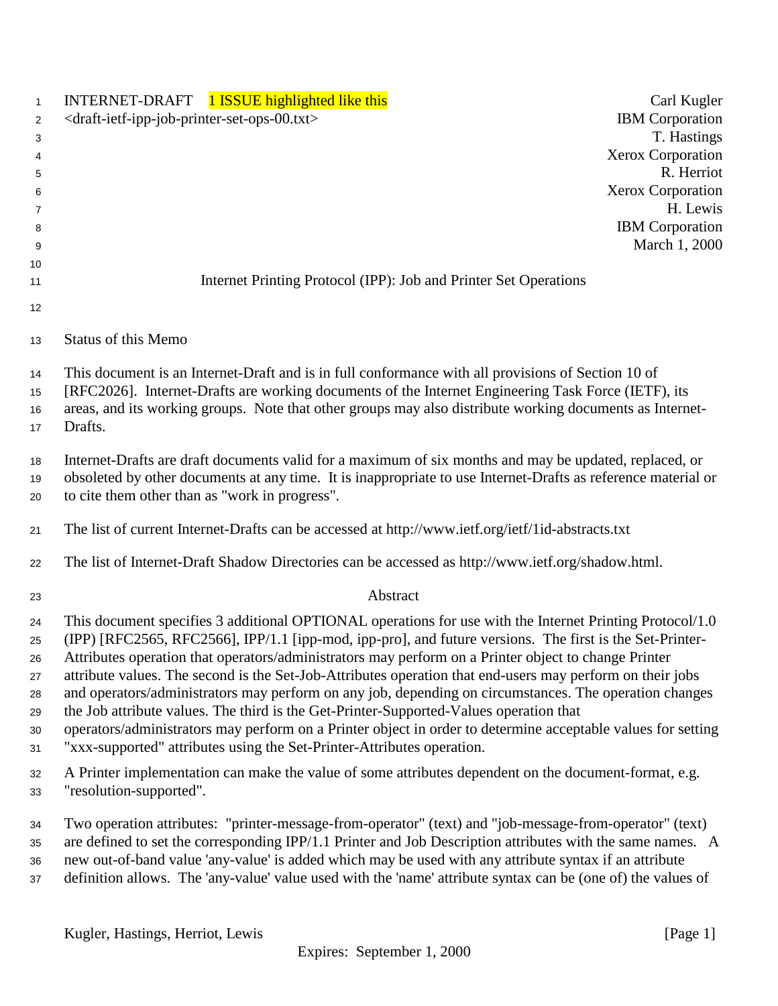| $\mathbf{1}$                                 | INTERNET-DRAFT 1 ISSUE highlighted like this<br>Carl Kugler                                                                                                                                                                                                                                                                                                                                                                                                                                                                                                                                                                                                                                                                                                                                                                             |  |
|----------------------------------------------|-----------------------------------------------------------------------------------------------------------------------------------------------------------------------------------------------------------------------------------------------------------------------------------------------------------------------------------------------------------------------------------------------------------------------------------------------------------------------------------------------------------------------------------------------------------------------------------------------------------------------------------------------------------------------------------------------------------------------------------------------------------------------------------------------------------------------------------------|--|
| $\overline{2}$                               | <b>IBM</b> Corporation<br><draft-ietf-ipp-job-printer-set-ops-00.txt></draft-ietf-ipp-job-printer-set-ops-00.txt>                                                                                                                                                                                                                                                                                                                                                                                                                                                                                                                                                                                                                                                                                                                       |  |
| 3                                            | T. Hastings                                                                                                                                                                                                                                                                                                                                                                                                                                                                                                                                                                                                                                                                                                                                                                                                                             |  |
| 4                                            | <b>Xerox Corporation</b>                                                                                                                                                                                                                                                                                                                                                                                                                                                                                                                                                                                                                                                                                                                                                                                                                |  |
| 5                                            | R. Herriot                                                                                                                                                                                                                                                                                                                                                                                                                                                                                                                                                                                                                                                                                                                                                                                                                              |  |
| 6                                            | <b>Xerox Corporation</b>                                                                                                                                                                                                                                                                                                                                                                                                                                                                                                                                                                                                                                                                                                                                                                                                                |  |
| 7                                            | H. Lewis                                                                                                                                                                                                                                                                                                                                                                                                                                                                                                                                                                                                                                                                                                                                                                                                                                |  |
| 8                                            | <b>IBM</b> Corporation                                                                                                                                                                                                                                                                                                                                                                                                                                                                                                                                                                                                                                                                                                                                                                                                                  |  |
| 9                                            | March 1, 2000                                                                                                                                                                                                                                                                                                                                                                                                                                                                                                                                                                                                                                                                                                                                                                                                                           |  |
| 10                                           | Internet Printing Protocol (IPP): Job and Printer Set Operations                                                                                                                                                                                                                                                                                                                                                                                                                                                                                                                                                                                                                                                                                                                                                                        |  |
| 11                                           |                                                                                                                                                                                                                                                                                                                                                                                                                                                                                                                                                                                                                                                                                                                                                                                                                                         |  |
| 12                                           |                                                                                                                                                                                                                                                                                                                                                                                                                                                                                                                                                                                                                                                                                                                                                                                                                                         |  |
| 13                                           | Status of this Memo                                                                                                                                                                                                                                                                                                                                                                                                                                                                                                                                                                                                                                                                                                                                                                                                                     |  |
| 14<br>15<br>16<br>17                         | This document is an Internet-Draft and is in full conformance with all provisions of Section 10 of<br>[RFC2026]. Internet-Drafts are working documents of the Internet Engineering Task Force (IETF), its<br>areas, and its working groups. Note that other groups may also distribute working documents as Internet-<br>Drafts.                                                                                                                                                                                                                                                                                                                                                                                                                                                                                                        |  |
| 18<br>19<br>20                               | Internet-Drafts are draft documents valid for a maximum of six months and may be updated, replaced, or<br>obsoleted by other documents at any time. It is inappropriate to use Internet-Drafts as reference material or<br>to cite them other than as "work in progress".                                                                                                                                                                                                                                                                                                                                                                                                                                                                                                                                                               |  |
| 21                                           | The list of current Internet-Drafts can be accessed at http://www.ietf.org/ietf/1id-abstracts.txt                                                                                                                                                                                                                                                                                                                                                                                                                                                                                                                                                                                                                                                                                                                                       |  |
| 22                                           | The list of Internet-Draft Shadow Directories can be accessed as http://www.ietf.org/shadow.html.                                                                                                                                                                                                                                                                                                                                                                                                                                                                                                                                                                                                                                                                                                                                       |  |
| 23                                           | Abstract                                                                                                                                                                                                                                                                                                                                                                                                                                                                                                                                                                                                                                                                                                                                                                                                                                |  |
| 24<br>25<br>26<br>27<br>28<br>29<br>30<br>31 | This document specifies 3 additional OPTIONAL operations for use with the Internet Printing Protocol/1.0<br>(IPP) [RFC2565, RFC2566], IPP/1.1 [ipp-mod, ipp-pro], and future versions. The first is the Set-Printer-<br>Attributes operation that operators/administrators may perform on a Printer object to change Printer<br>attribute values. The second is the Set-Job-Attributes operation that end-users may perform on their jobs<br>and operators/administrators may perform on any job, depending on circumstances. The operation changes<br>the Job attribute values. The third is the Get-Printer-Supported-Values operation that<br>operators/administrators may perform on a Printer object in order to determine acceptable values for setting<br>"xxx-supported" attributes using the Set-Printer-Attributes operation. |  |
| 32<br>33                                     | A Printer implementation can make the value of some attributes dependent on the document-format, e.g.<br>"resolution-supported".                                                                                                                                                                                                                                                                                                                                                                                                                                                                                                                                                                                                                                                                                                        |  |
| 34<br>35<br>36<br>37                         | Two operation attributes: "printer-message-from-operator" (text) and "job-message-from-operator" (text)<br>are defined to set the corresponding IPP/1.1 Printer and Job Description attributes with the same names. A<br>new out-of-band value 'any-value' is added which may be used with any attribute syntax if an attribute<br>definition allows. The 'any-value' value used with the 'name' attribute syntax can be (one of) the values of                                                                                                                                                                                                                                                                                                                                                                                         |  |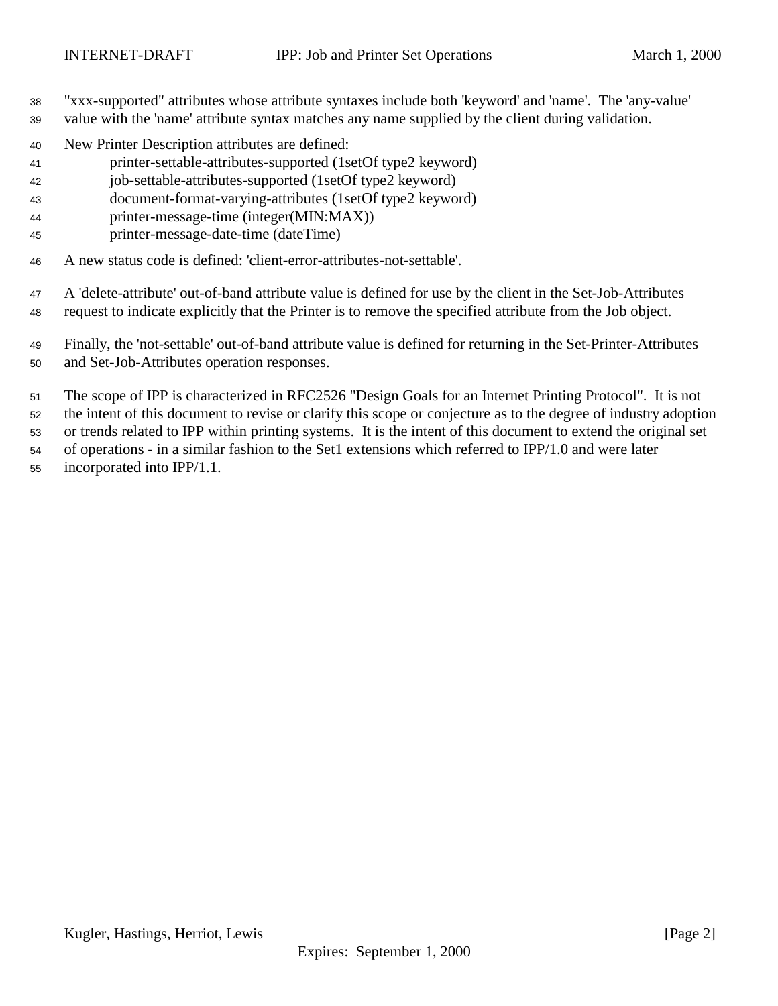- "xxx-supported" attributes whose attribute syntaxes include both 'keyword' and 'name'. The 'any-value'
- value with the 'name' attribute syntax matches any name supplied by the client during validation.
- New Printer Description attributes are defined:
- printer-settable-attributes-supported (1setOf type2 keyword)
- job-settable-attributes-supported (1setOf type2 keyword)
- document-format-varying-attributes (1setOf type2 keyword)
- printer-message-time (integer(MIN:MAX))
- printer-message-date-time (dateTime)
- A new status code is defined: 'client-error-attributes-not-settable'.

 A 'delete-attribute' out-of-band attribute value is defined for use by the client in the Set-Job-Attributes request to indicate explicitly that the Printer is to remove the specified attribute from the Job object.

 Finally, the 'not-settable' out-of-band attribute value is defined for returning in the Set-Printer-Attributes and Set-Job-Attributes operation responses.

The scope of IPP is characterized in RFC2526 "Design Goals for an Internet Printing Protocol". It is not

- the intent of this document to revise or clarify this scope or conjecture as to the degree of industry adoption
- or trends related to IPP within printing systems. It is the intent of this document to extend the original set
- of operations in a similar fashion to the Set1 extensions which referred to IPP/1.0 and were later
- incorporated into IPP/1.1.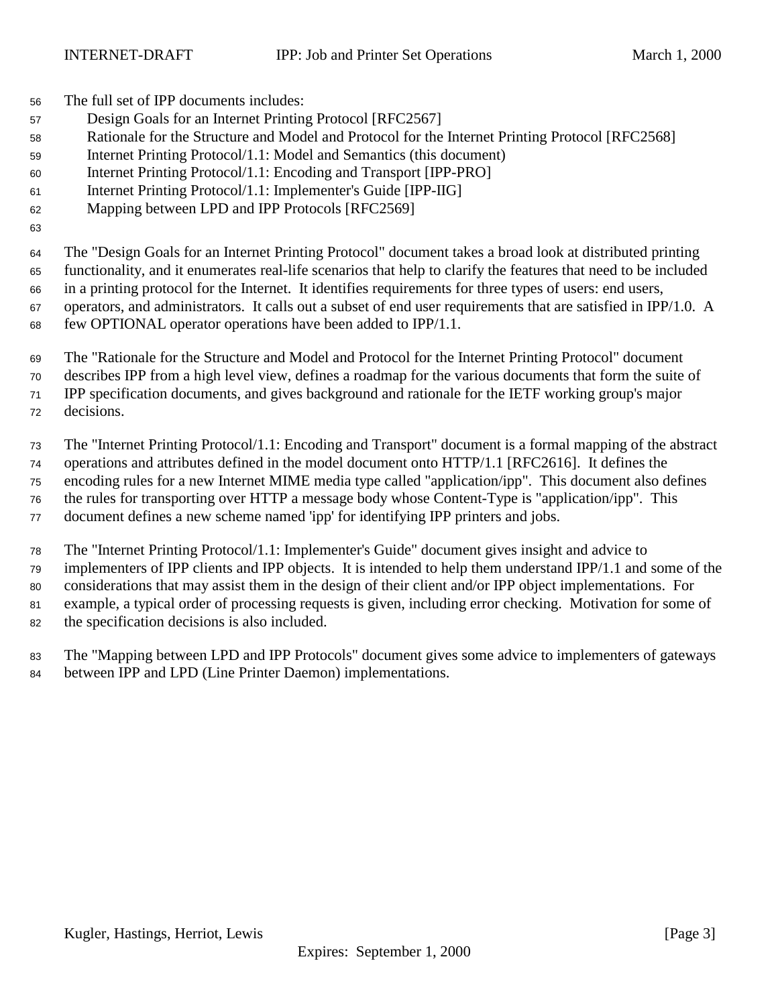The full set of IPP documents includes:

- Design Goals for an Internet Printing Protocol [RFC2567]
- Rationale for the Structure and Model and Protocol for the Internet Printing Protocol [RFC2568]
- Internet Printing Protocol/1.1: Model and Semantics (this document)
- Internet Printing Protocol/1.1: Encoding and Transport [IPP-PRO]
- Internet Printing Protocol/1.1: Implementer's Guide [IPP-IIG]
- Mapping between LPD and IPP Protocols [RFC2569]

 The "Design Goals for an Internet Printing Protocol" document takes a broad look at distributed printing functionality, and it enumerates real-life scenarios that help to clarify the features that need to be included in a printing protocol for the Internet. It identifies requirements for three types of users: end users, operators, and administrators. It calls out a subset of end user requirements that are satisfied in IPP/1.0. A few OPTIONAL operator operations have been added to IPP/1.1.

 The "Rationale for the Structure and Model and Protocol for the Internet Printing Protocol" document describes IPP from a high level view, defines a roadmap for the various documents that form the suite of IPP specification documents, and gives background and rationale for the IETF working group's major decisions.

 The "Internet Printing Protocol/1.1: Encoding and Transport" document is a formal mapping of the abstract operations and attributes defined in the model document onto HTTP/1.1 [RFC2616]. It defines the encoding rules for a new Internet MIME media type called "application/ipp". This document also defines the rules for transporting over HTTP a message body whose Content-Type is "application/ipp". This document defines a new scheme named 'ipp' for identifying IPP printers and jobs.

 The "Internet Printing Protocol/1.1: Implementer's Guide" document gives insight and advice to implementers of IPP clients and IPP objects. It is intended to help them understand IPP/1.1 and some of the considerations that may assist them in the design of their client and/or IPP object implementations. For example, a typical order of processing requests is given, including error checking. Motivation for some of the specification decisions is also included.

 The "Mapping between LPD and IPP Protocols" document gives some advice to implementers of gateways between IPP and LPD (Line Printer Daemon) implementations.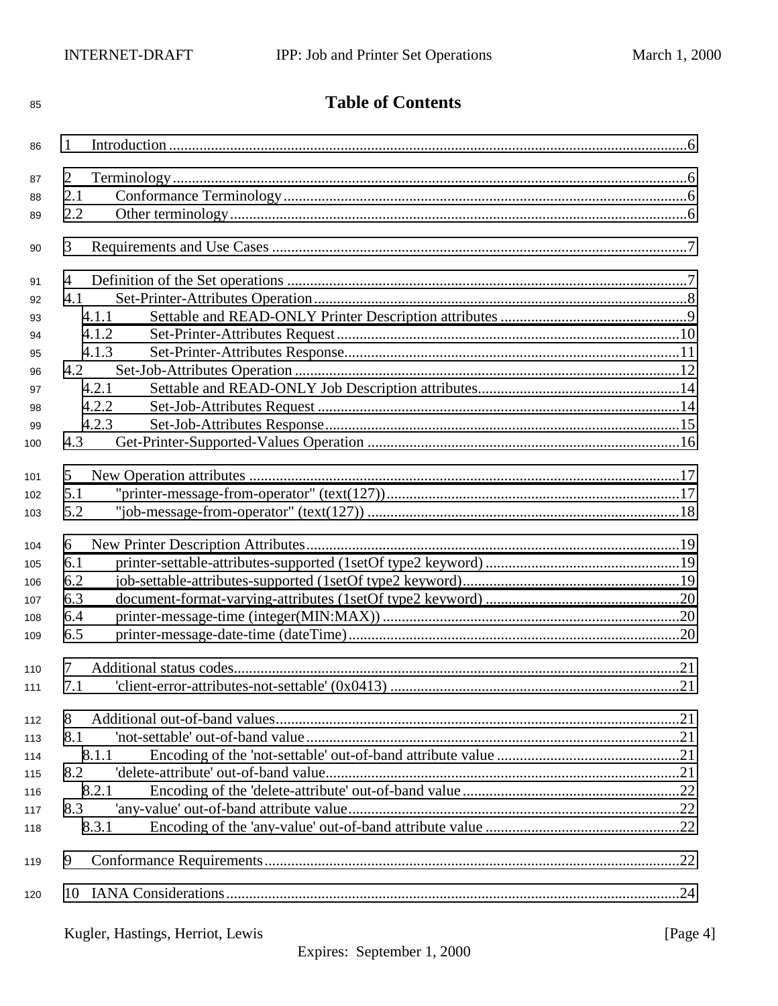| 85  | <b>Table of Contents</b> |  |  |
|-----|--------------------------|--|--|
| 86  | 1                        |  |  |
| 87  | 2                        |  |  |
| 88  | 2.1                      |  |  |
| 89  | 2.2                      |  |  |
| 90  | 3                        |  |  |
| 91  | 4                        |  |  |
| 92  | 4.1                      |  |  |
| 93  | 4.1.1                    |  |  |
| 94  | 4.1.2                    |  |  |
| 95  | 4.1.3                    |  |  |
| 96  | 4.2                      |  |  |
| 97  | 4.2.1                    |  |  |
| 98  | 4.2.2                    |  |  |
| 99  | 4.2.3                    |  |  |
| 100 | 4.3                      |  |  |
| 101 | 5                        |  |  |
| 102 | 5.1                      |  |  |
| 103 | 5.2                      |  |  |
| 104 | 6                        |  |  |
| 105 | 6.1                      |  |  |
| 106 | 6.2                      |  |  |
| 107 | 6.3                      |  |  |
| 108 | 6.4                      |  |  |
| 109 | 6.5                      |  |  |
| 110 | $\overline{7}$           |  |  |
| 111 | 7.1                      |  |  |
| 112 | 8                        |  |  |
| 113 | 8.1                      |  |  |
| 114 | 8.1.1                    |  |  |
| 115 | 8.2                      |  |  |
| 116 | 8.2.1                    |  |  |
| 117 | 8.3                      |  |  |
| 118 | 8.3.1                    |  |  |
| 119 | 9                        |  |  |
| 120 |                          |  |  |
|     |                          |  |  |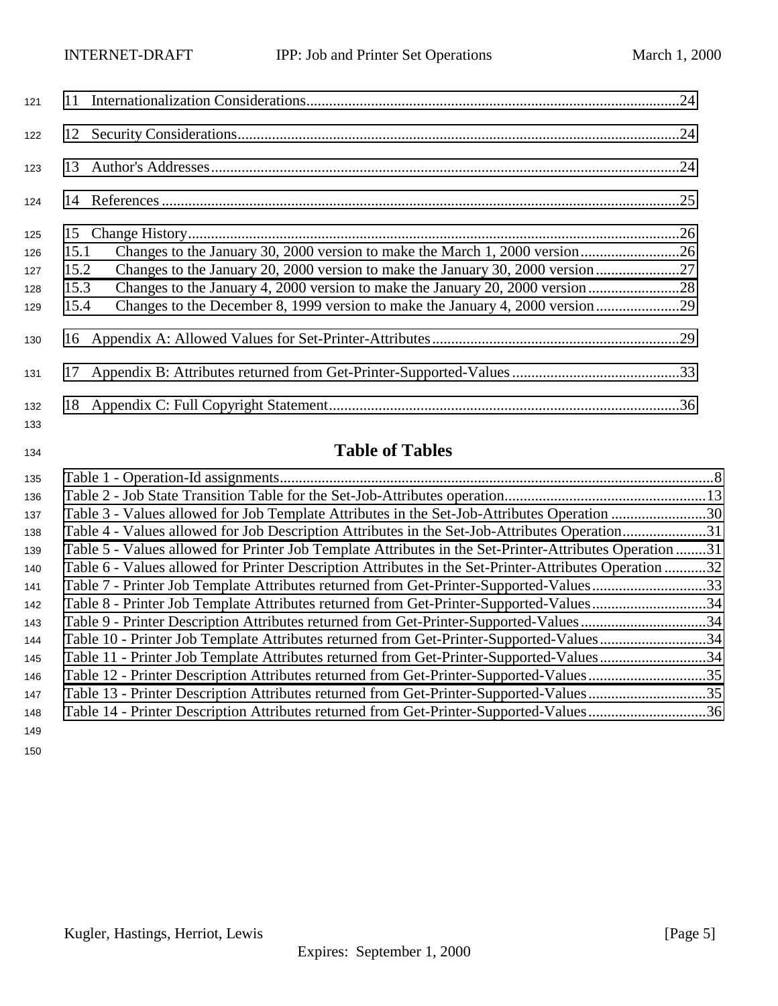| 121        |                                                                                        |  |
|------------|----------------------------------------------------------------------------------------|--|
| 122        |                                                                                        |  |
| 123        |                                                                                        |  |
| 124        |                                                                                        |  |
| 125        |                                                                                        |  |
| 126        | 15.1                                                                                   |  |
| 127        | Changes to the January 20, 2000 version to make the January 30, 2000 version27<br>15.2 |  |
| 128        | Changes to the January 4, 2000 version to make the January 20, 2000 version28<br>15.3  |  |
| 129        | Changes to the December 8, 1999 version to make the January 4, 2000 version<br>15.4    |  |
| 130        |                                                                                        |  |
| 131        |                                                                                        |  |
| 132<br>133 |                                                                                        |  |

# **Table of Tables**

| 135 |                                                                                                         |  |
|-----|---------------------------------------------------------------------------------------------------------|--|
| 136 |                                                                                                         |  |
| 137 | Table 3 - Values allowed for Job Template Attributes in the Set-Job-Attributes Operation 30             |  |
| 138 | Table 4 - Values allowed for Job Description Attributes in the Set-Job-Attributes Operation31           |  |
| 139 | Table 5 - Values allowed for Printer Job Template Attributes in the Set-Printer-Attributes Operation 31 |  |
| 140 | Table 6 - Values allowed for Printer Description Attributes in the Set-Printer-Attributes Operation 32  |  |
| 141 | Table 7 - Printer Job Template Attributes returned from Get-Printer-Supported-Values33                  |  |
| 142 | Table 8 - Printer Job Template Attributes returned from Get-Printer-Supported-Values34                  |  |
| 143 | Table 9 - Printer Description Attributes returned from Get-Printer-Supported-Values34                   |  |
| 144 | Table 10 - Printer Job Template Attributes returned from Get-Printer-Supported-Values34                 |  |
| 145 | Table 11 - Printer Job Template Attributes returned from Get-Printer-Supported-Values34                 |  |
| 146 | Table 12 - Printer Description Attributes returned from Get-Printer-Supported-Values35                  |  |
| 147 | Table 13 - Printer Description Attributes returned from Get-Printer-Supported-Values35                  |  |
| 148 | Table 14 - Printer Description Attributes returned from Get-Printer-Supported-Values36                  |  |
| 149 |                                                                                                         |  |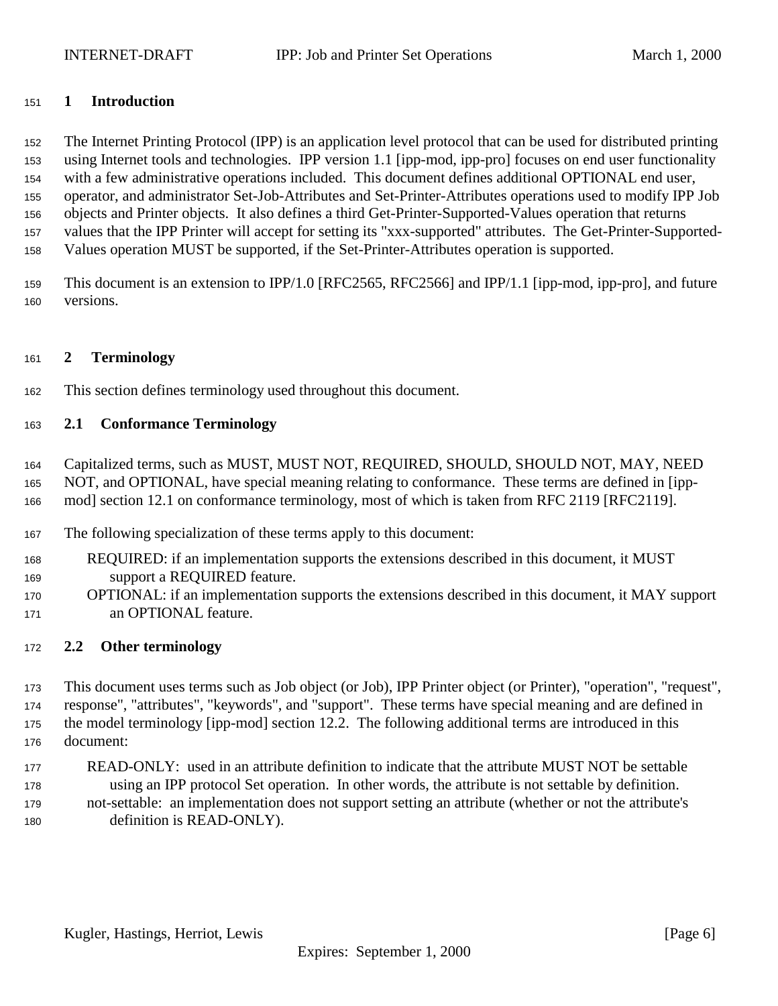## <span id="page-5-0"></span>**1 Introduction**

 The Internet Printing Protocol (IPP) is an application level protocol that can be used for distributed printing using Internet tools and technologies. IPP version 1.1 [ipp-mod, ipp-pro] focuses on end user functionality with a few administrative operations included. This document defines additional OPTIONAL end user, operator, and administrator Set-Job-Attributes and Set-Printer-Attributes operations used to modify IPP Job objects and Printer objects. It also defines a third Get-Printer-Supported-Values operation that returns values that the IPP Printer will accept for setting its "xxx-supported" attributes. The Get-Printer-Supported-Values operation MUST be supported, if the Set-Printer-Attributes operation is supported.

 This document is an extension to IPP/1.0 [RFC2565, RFC2566] and IPP/1.1 [ipp-mod, ipp-pro], and future versions.

## **2 Terminology**

This section defines terminology used throughout this document.

## **2.1 Conformance Terminology**

 Capitalized terms, such as MUST, MUST NOT, REQUIRED, SHOULD, SHOULD NOT, MAY, NEED NOT, and OPTIONAL, have special meaning relating to conformance. These terms are defined in [ipp-mod] section 12.1 on conformance terminology, most of which is taken from RFC 2119 [RFC2119].

- The following specialization of these terms apply to this document:
- REQUIRED: if an implementation supports the extensions described in this document, it MUST support a REQUIRED feature.
- OPTIONAL: if an implementation supports the extensions described in this document, it MAY support an OPTIONAL feature.

## **2.2 Other terminology**

 This document uses terms such as Job object (or Job), IPP Printer object (or Printer), "operation", "request", response", "attributes", "keywords", and "support". These terms have special meaning and are defined in the model terminology [ipp-mod] section 12.2. The following additional terms are introduced in this document:

 READ-ONLY: used in an attribute definition to indicate that the attribute MUST NOT be settable using an IPP protocol Set operation. In other words, the attribute is not settable by definition. not-settable: an implementation does not support setting an attribute (whether or not the attribute's definition is READ-ONLY).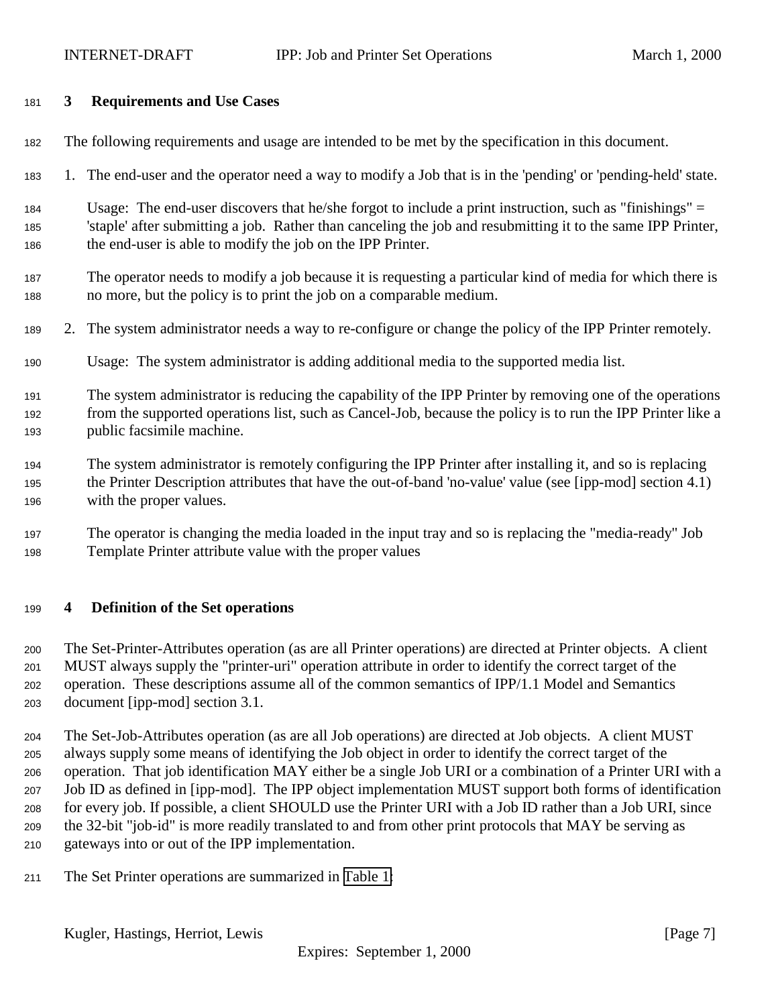## <span id="page-6-0"></span>**3 Requirements and Use Cases**

- The following requirements and usage are intended to be met by the specification in this document.
- 1. The end-user and the operator need a way to modify a Job that is in the 'pending' or 'pending-held' state.
- Usage: The end-user discovers that he/she forgot to include a print instruction, such as "finishings" = 'staple' after submitting a job. Rather than canceling the job and resubmitting it to the same IPP Printer, the end-user is able to modify the job on the IPP Printer.
- The operator needs to modify a job because it is requesting a particular kind of media for which there is no more, but the policy is to print the job on a comparable medium.
- 2. The system administrator needs a way to re-configure or change the policy of the IPP Printer remotely.
- Usage: The system administrator is adding additional media to the supported media list.
- The system administrator is reducing the capability of the IPP Printer by removing one of the operations from the supported operations list, such as Cancel-Job, because the policy is to run the IPP Printer like a public facsimile machine.
- The system administrator is remotely configuring the IPP Printer after installing it, and so is replacing the Printer Description attributes that have the out-of-band 'no-value' value (see [ipp-mod] section 4.1) with the proper values.
- The operator is changing the media loaded in the input tray and so is replacing the "media-ready" Job Template Printer attribute value with the proper values

## **4 Definition of the Set operations**

 The Set-Printer-Attributes operation (as are all Printer operations) are directed at Printer objects. A client MUST always supply the "printer-uri" operation attribute in order to identify the correct target of the operation. These descriptions assume all of the common semantics of IPP/1.1 Model and Semantics document [ipp-mod] section 3.1.

 The Set-Job-Attributes operation (as are all Job operations) are directed at Job objects. A client MUST always supply some means of identifying the Job object in order to identify the correct target of the operation. That job identification MAY either be a single Job URI or a combination of a Printer URI with a Job ID as defined in [ipp-mod]. The IPP object implementation MUST support both forms of identification for every job. If possible, a client SHOULD use the Printer URI with a Job ID rather than a Job URI, since the 32-bit "job-id" is more readily translated to and from other print protocols that MAY be serving as gateways into or out of the IPP implementation.

The Set Printer operations are summarized in [Table 1:](#page-7-0)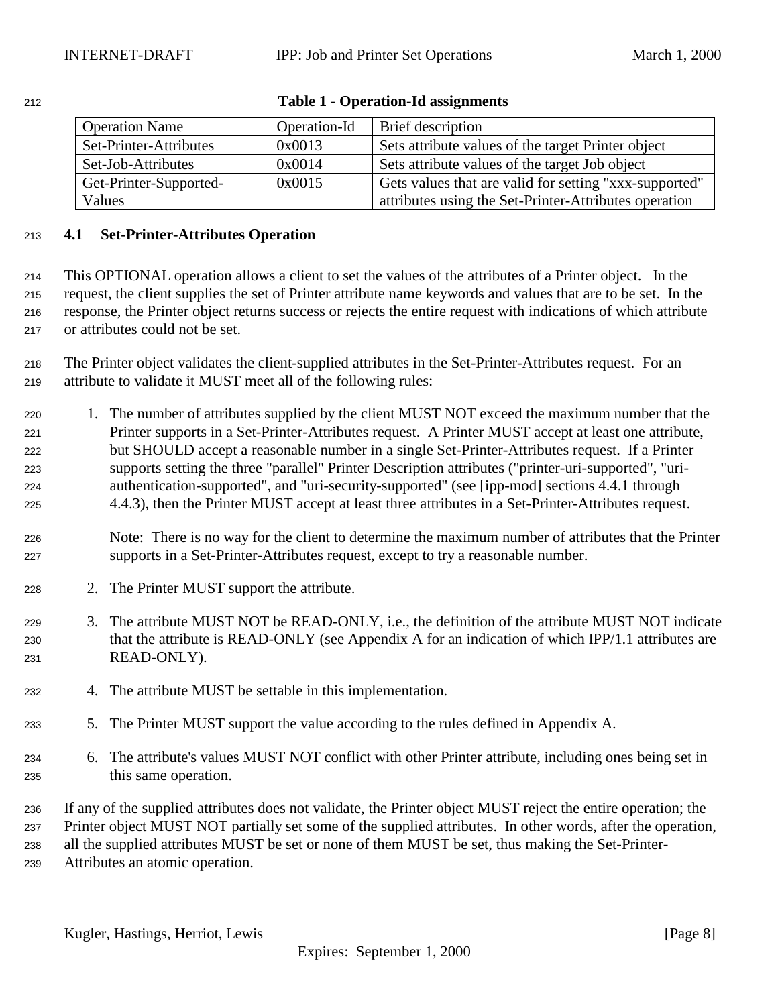<span id="page-7-0"></span>

| 212 | <b>Table 1 - Operation-Id assignments</b> |
|-----|-------------------------------------------|
|     |                                           |

| <b>Operation Name</b>  | Operation-Id | <b>Brief</b> description                               |
|------------------------|--------------|--------------------------------------------------------|
| Set-Printer-Attributes | 0x0013       | Sets attribute values of the target Printer object     |
| Set-Job-Attributes     | 0x0014       | Sets attribute values of the target Job object         |
| Get-Printer-Supported- | 0x0015       | Gets values that are valid for setting "xxx-supported" |
| Values                 |              | attributes using the Set-Printer-Attributes operation  |

## **4.1 Set-Printer-Attributes Operation**

 This OPTIONAL operation allows a client to set the values of the attributes of a Printer object. In the request, the client supplies the set of Printer attribute name keywords and values that are to be set. In the response, the Printer object returns success or rejects the entire request with indications of which attribute or attributes could not be set.

 The Printer object validates the client-supplied attributes in the Set-Printer-Attributes request. For an attribute to validate it MUST meet all of the following rules:

- 1. The number of attributes supplied by the client MUST NOT exceed the maximum number that the Printer supports in a Set-Printer-Attributes request. A Printer MUST accept at least one attribute, but SHOULD accept a reasonable number in a single Set-Printer-Attributes request. If a Printer supports setting the three "parallel" Printer Description attributes ("printer-uri-supported", "uri- authentication-supported", and "uri-security-supported" (see [ipp-mod] sections 4.4.1 through 4.4.3), then the Printer MUST accept at least three attributes in a Set-Printer-Attributes request.
- Note: There is no way for the client to determine the maximum number of attributes that the Printer supports in a Set-Printer-Attributes request, except to try a reasonable number.
- 2. The Printer MUST support the attribute.
- 3. The attribute MUST NOT be READ-ONLY, i.e., the definition of the attribute MUST NOT indicate that the attribute is READ-ONLY (see Appendix A for an indication of which IPP/1.1 attributes are READ-ONLY).
- 4. The attribute MUST be settable in this implementation.
- 5. The Printer MUST support the value according to the rules defined in Appendix A.
- 6. The attribute's values MUST NOT conflict with other Printer attribute, including ones being set in this same operation.

 If any of the supplied attributes does not validate, the Printer object MUST reject the entire operation; the Printer object MUST NOT partially set some of the supplied attributes. In other words, after the operation, all the supplied attributes MUST be set or none of them MUST be set, thus making the Set-Printer-Attributes an atomic operation.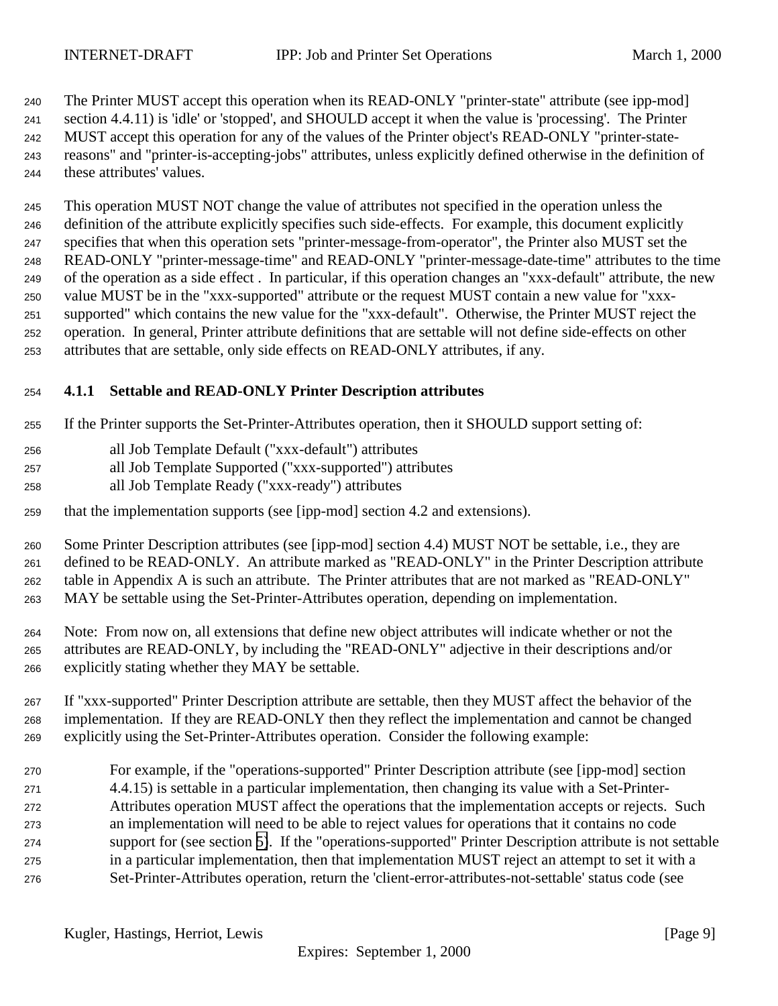<span id="page-8-0"></span> The Printer MUST accept this operation when its READ-ONLY "printer-state" attribute (see ipp-mod] section 4.4.11) is 'idle' or 'stopped', and SHOULD accept it when the value is 'processing'. The Printer MUST accept this operation for any of the values of the Printer object's READ-ONLY "printer-state- reasons" and "printer-is-accepting-jobs" attributes, unless explicitly defined otherwise in the definition of these attributes' values.

 This operation MUST NOT change the value of attributes not specified in the operation unless the definition of the attribute explicitly specifies such side-effects. For example, this document explicitly specifies that when this operation sets "printer-message-from-operator", the Printer also MUST set the READ-ONLY "printer-message-time" and READ-ONLY "printer-message-date-time" attributes to the time of the operation as a side effect . In particular, if this operation changes an "xxx-default" attribute, the new value MUST be in the "xxx-supported" attribute or the request MUST contain a new value for "xxx- supported" which contains the new value for the "xxx-default". Otherwise, the Printer MUST reject the operation. In general, Printer attribute definitions that are settable will not define side-effects on other attributes that are settable, only side effects on READ-ONLY attributes, if any.

## **4.1.1 Settable and READ-ONLY Printer Description attributes**

If the Printer supports the Set-Printer-Attributes operation, then it SHOULD support setting of:

- all Job Template Default ("xxx-default") attributes
- all Job Template Supported ("xxx-supported") attributes
- all Job Template Ready ("xxx-ready") attributes
- that the implementation supports (see [ipp-mod] section 4.2 and extensions).

 Some Printer Description attributes (see [ipp-mod] section 4.4) MUST NOT be settable, i.e., they are defined to be READ-ONLY. An attribute marked as "READ-ONLY" in the Printer Description attribute table in Appendix A is such an attribute. The Printer attributes that are not marked as "READ-ONLY" MAY be settable using the Set-Printer-Attributes operation, depending on implementation.

- Note: From now on, all extensions that define new object attributes will indicate whether or not the attributes are READ-ONLY, by including the "READ-ONLY" adjective in their descriptions and/or explicitly stating whether they MAY be settable.
- If "xxx-supported" Printer Description attribute are settable, then they MUST affect the behavior of the implementation. If they are READ-ONLY then they reflect the implementation and cannot be changed explicitly using the Set-Printer-Attributes operation. Consider the following example:
- For example, if the "operations-supported" Printer Description attribute (see [ipp-mod] section 4.4.15) is settable in a particular implementation, then changing its value with a Set-Printer- Attributes operation MUST affect the operations that the implementation accepts or rejects. Such an implementation will need to be able to reject values for operations that it contains no code support for (see section [5\)](#page-15-0). If the "operations-supported" Printer Description attribute is not settable in a particular implementation, then that implementation MUST reject an attempt to set it with a Set-Printer-Attributes operation, return the 'client-error-attributes-not-settable' status code (see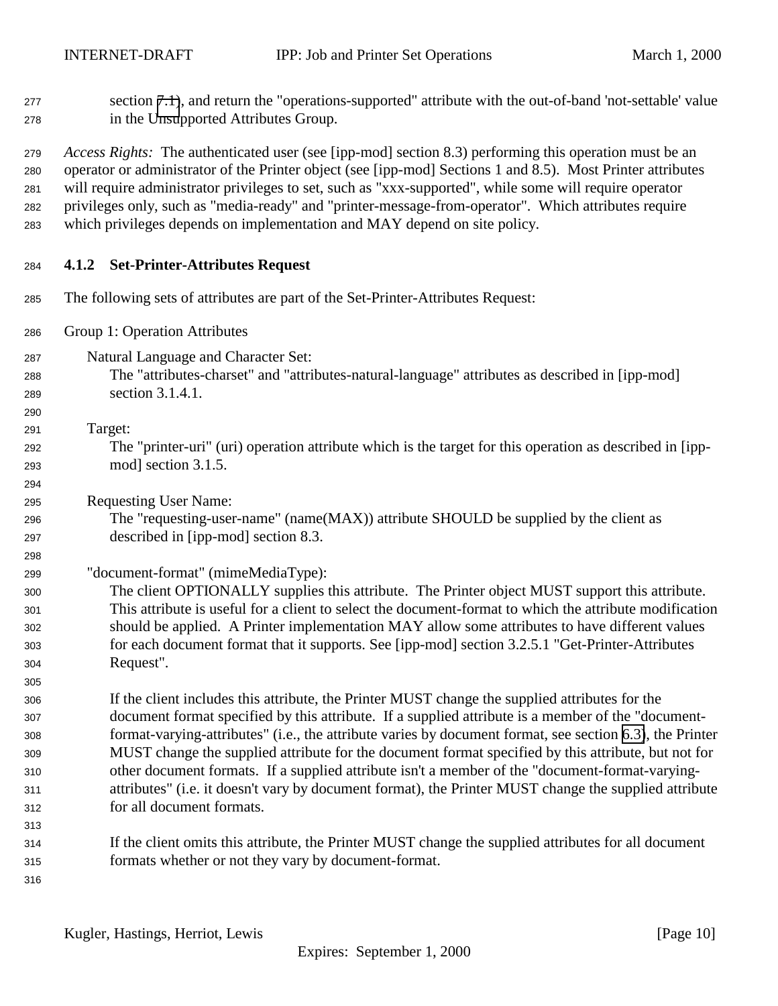<span id="page-9-0"></span>section [7.1\)](#page-20-0), and return the "operations-supported" attribute with the out-of-band 'not-settable' value

 in the Unsupported Attributes Group. *Access Rights:*The authenticated user (see [ipp-mod] section 8.3) performing this operation must be an operator or administrator of the Printer object (see [ipp-mod] Sections 1 and 8.5). Most Printer attributes will require administrator privileges to set, such as "xxx-supported", while some will require operator privileges only, such as "media-ready" and "printer-message-from-operator". Which attributes require which privileges depends on implementation and MAY depend on site policy. **4.1.2 Set-Printer-Attributes Request** The following sets of attributes are part of the Set-Printer-Attributes Request: Group 1: Operation Attributes Natural Language and Character Set: The "attributes-charset" and "attributes-natural-language" attributes as described in [ipp-mod] section 3.1.4.1. Target: The "printer-uri" (uri) operation attribute which is the target for this operation as described in [ipp- mod] section 3.1.5. Requesting User Name: The "requesting-user-name" (name(MAX)) attribute SHOULD be supplied by the client as described in [ipp-mod] section 8.3. "document-format" (mimeMediaType): The client OPTIONALLY supplies this attribute. The Printer object MUST support this attribute. This attribute is useful for a client to select the document-format to which the attribute modification should be applied. A Printer implementation MAY allow some attributes to have different values for each document format that it supports. See [ipp-mod] section 3.2.5.1 "Get-Printer-Attributes Request". If the client includes this attribute, the Printer MUST change the supplied attributes for the document format specified by this attribute. If a supplied attribute is a member of the "document- format-varying-attributes" (i.e., the attribute varies by document format, see section [6.3\)](#page-19-0), the Printer MUST change the supplied attribute for the document format specified by this attribute, but not for other document formats. If a supplied attribute isn't a member of the "document-format-varying- attributes" (i.e. it doesn't vary by document format), the Printer MUST change the supplied attribute for all document formats. If the client omits this attribute, the Printer MUST change the supplied attributes for all document formats whether or not they vary by document-format.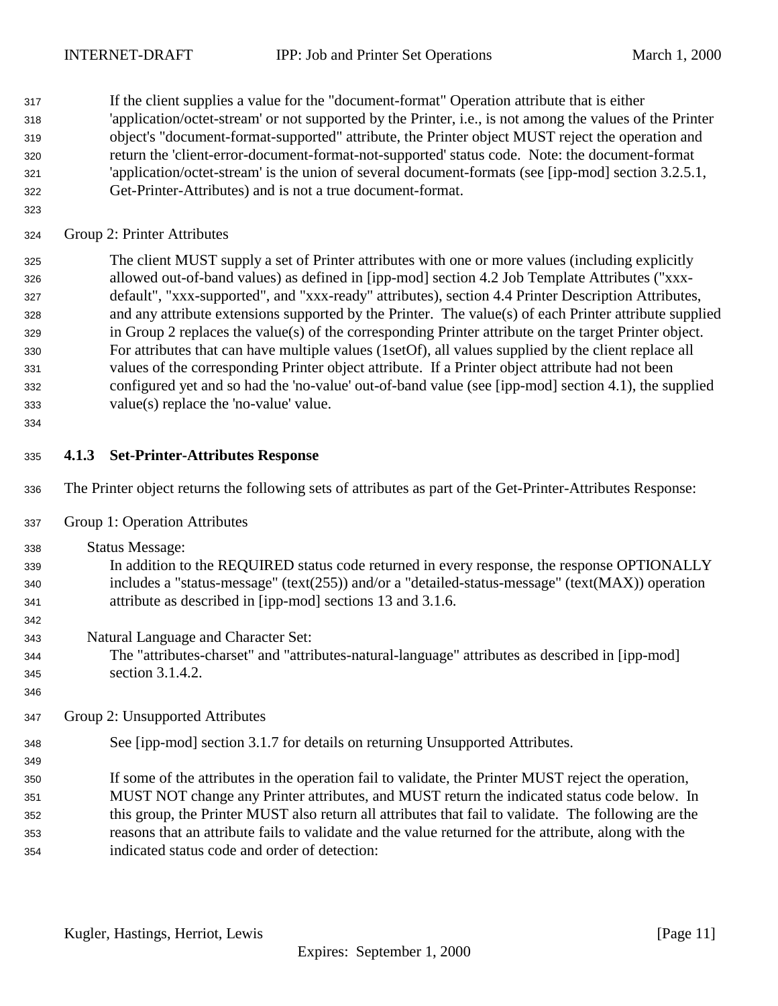<span id="page-10-0"></span> If the client supplies a value for the "document-format" Operation attribute that is either 'application/octet-stream' or not supported by the Printer, i.e., is not among the values of the Printer object's "document-format-supported" attribute, the Printer object MUST reject the operation and return the 'client-error-document-format-not-supported' status code. Note: the document-format 'application/octet-stream' is the union of several document-formats (see [ipp-mod] section 3.2.5.1, Get-Printer-Attributes) and is not a true document-format.

Group 2: Printer Attributes

 The client MUST supply a set of Printer attributes with one or more values (including explicitly allowed out-of-band values) as defined in [ipp-mod] section 4.2 Job Template Attributes ("xxx- default", "xxx-supported", and "xxx-ready" attributes), section 4.4 Printer Description Attributes, and any attribute extensions supported by the Printer. The value(s) of each Printer attribute supplied in Group 2 replaces the value(s) of the corresponding Printer attribute on the target Printer object. For attributes that can have multiple values (1setOf), all values supplied by the client replace all values of the corresponding Printer object attribute. If a Printer object attribute had not been configured yet and so had the 'no-value' out-of-band value (see [ipp-mod] section 4.1), the supplied value(s) replace the 'no-value' value.

## **4.1.3 Set-Printer-Attributes Response**

- The Printer object returns the following sets of attributes as part of the Get-Printer-Attributes Response:
- Group 1: Operation Attributes
- Status Message:
- In addition to the REQUIRED status code returned in every response, the response OPTIONALLY includes a "status-message" (text(255)) and/or a "detailed-status-message" (text(MAX)) operation attribute as described in [ipp-mod] sections 13 and 3.1.6.
- Natural Language and Character Set:
- The "attributes-charset" and "attributes-natural-language" attributes as described in [ipp-mod] section 3.1.4.2.
- Group 2: Unsupported Attributes
- See [ipp-mod] section 3.1.7 for details on returning Unsupported Attributes.
- If some of the attributes in the operation fail to validate, the Printer MUST reject the operation, MUST NOT change any Printer attributes, and MUST return the indicated status code below. In this group, the Printer MUST also return all attributes that fail to validate. The following are the reasons that an attribute fails to validate and the value returned for the attribute, along with the indicated status code and order of detection: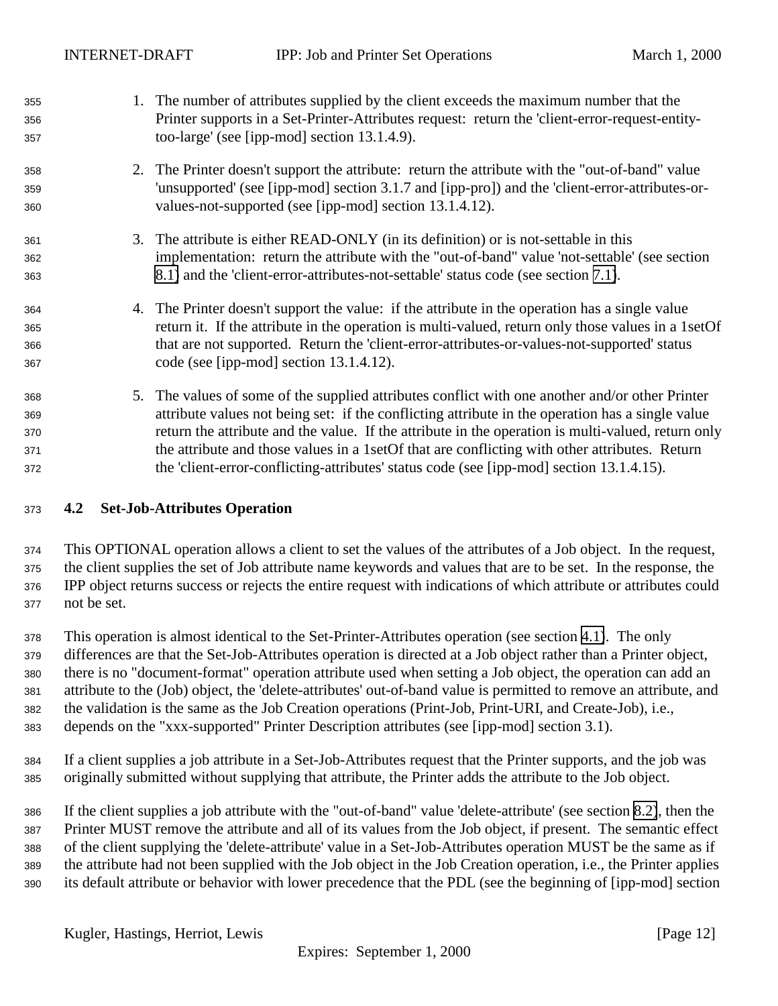<span id="page-11-0"></span>

| 355 |    | 1. The number of attributes supplied by the client exceeds the maximum number that the              |
|-----|----|-----------------------------------------------------------------------------------------------------|
| 356 |    | Printer supports in a Set-Printer-Attributes request: return the 'client-error-request-entity-      |
| 357 |    | too-large' (see [ipp-mod] section 13.1.4.9).                                                        |
| 358 |    | 2. The Printer doesn't support the attribute: return the attribute with the "out-of-band" value     |
| 359 |    | 'unsupported' (see [ipp-mod] section 3.1.7 and [ipp-pro]) and the 'client-error-attributes-or-      |
| 360 |    | values-not-supported (see [ipp-mod] section 13.1.4.12).                                             |
| 361 | 3. | The attribute is either READ-ONLY (in its definition) or is not-settable in this                    |
| 362 |    | implementation: return the attribute with the "out-of-band" value 'not-settable' (see section       |
| 363 |    | 8.1) and the 'client-error-attributes-not-settable' status code (see section 7.1).                  |
| 364 |    | 4. The Printer doesn't support the value: if the attribute in the operation has a single value      |
| 365 |    | return it. If the attribute in the operation is multi-valued, return only those values in a 1set Of |
| 366 |    | that are not supported. Return the 'client-error-attributes-or-values-not-supported' status         |
| 367 |    | code (see [ipp-mod] section 13.1.4.12).                                                             |
| 368 |    | 5. The values of some of the supplied attributes conflict with one another and/or other Printer     |
| 369 |    | attribute values not being set: if the conflicting attribute in the operation has a single value    |
| 370 |    | return the attribute and the value. If the attribute in the operation is multi-valued, return only  |
| 371 |    | the attribute and those values in a 1set Of that are conflicting with other attributes. Return      |
| 372 |    | the 'client-error-conflicting-attributes' status code (see [ipp-mod] section 13.1.4.15).            |

## **4.2 Set-Job-Attributes Operation**

 This OPTIONAL operation allows a client to set the values of the attributes of a Job object. In the request, the client supplies the set of Job attribute name keywords and values that are to be set. In the response, the IPP object returns success or rejects the entire request with indications of which attribute or attributes could not be set.

 This operation is almost identical to the Set-Printer-Attributes operation (see section [4.1\)](#page-7-0). The only differences are that the Set-Job-Attributes operation is directed at a Job object rather than a Printer object, there is no "document-format" operation attribute used when setting a Job object, the operation can add an attribute to the (Job) object, the 'delete-attributes' out-of-band value is permitted to remove an attribute, and the validation is the same as the Job Creation operations (Print-Job, Print-URI, and Create-Job), i.e., depends on the "xxx-supported" Printer Description attributes (see [ipp-mod] section 3.1).

 If a client supplies a job attribute in a Set-Job-Attributes request that the Printer supports, and the job was originally submitted without supplying that attribute, the Printer adds the attribute to the Job object.

 If the client supplies a job attribute with the "out-of-band" value 'delete-attribute' (see section [8.2\)](#page-20-0), then the Printer MUST remove the attribute and all of its values from the Job object, if present. The semantic effect of the client supplying the 'delete-attribute' value in a Set-Job-Attributes operation MUST be the same as if the attribute had not been supplied with the Job object in the Job Creation operation, i.e., the Printer applies its default attribute or behavior with lower precedence that the PDL (see the beginning of [ipp-mod] section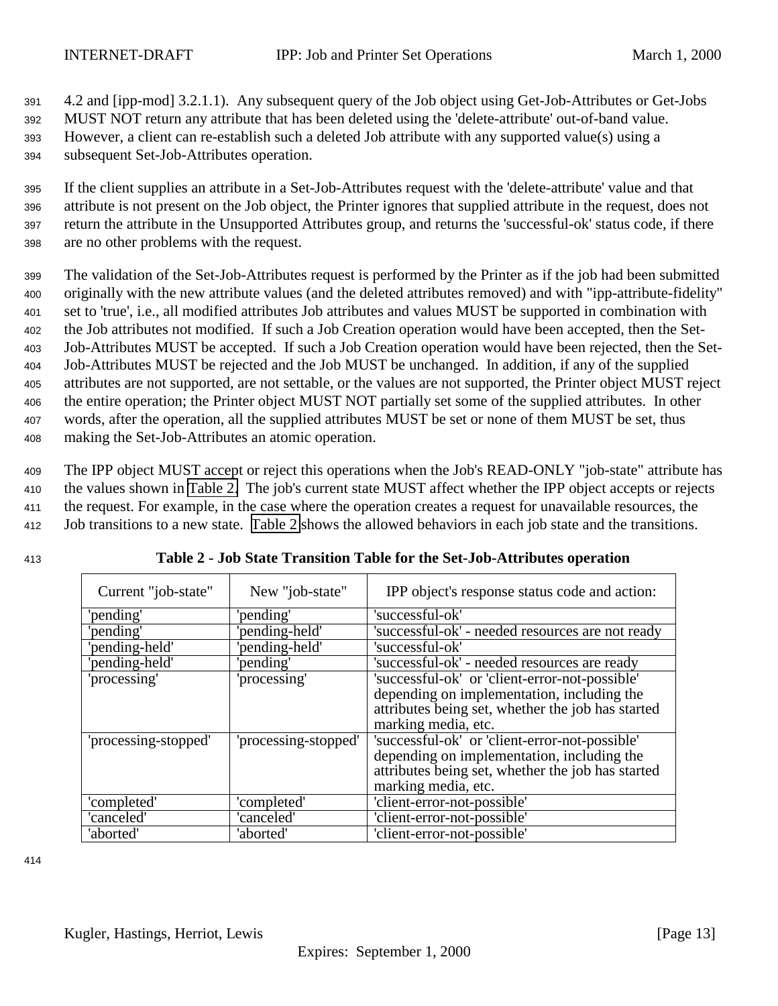<span id="page-12-0"></span> 4.2 and [ipp-mod] 3.2.1.1). Any subsequent query of the Job object using Get-Job-Attributes or Get-Jobs MUST NOT return any attribute that has been deleted using the 'delete-attribute' out-of-band value. However, a client can re-establish such a deleted Job attribute with any supported value(s) using a subsequent Set-Job-Attributes operation.

 If the client supplies an attribute in a Set-Job-Attributes request with the 'delete-attribute' value and that attribute is not present on the Job object, the Printer ignores that supplied attribute in the request, does not return the attribute in the Unsupported Attributes group, and returns the 'successful-ok' status code, if there are no other problems with the request.

 The validation of the Set-Job-Attributes request is performed by the Printer as if the job had been submitted originally with the new attribute values (and the deleted attributes removed) and with "ipp-attribute-fidelity" set to 'true', i.e., all modified attributes Job attributes and values MUST be supported in combination with the Job attributes not modified. If such a Job Creation operation would have been accepted, then the Set- Job-Attributes MUST be accepted. If such a Job Creation operation would have been rejected, then the Set- Job-Attributes MUST be rejected and the Job MUST be unchanged. In addition, if any of the supplied attributes are not supported, are not settable, or the values are not supported, the Printer object MUST reject the entire operation; the Printer object MUST NOT partially set some of the supplied attributes. In other words, after the operation, all the supplied attributes MUST be set or none of them MUST be set, thus making the Set-Job-Attributes an atomic operation.

 The IPP object MUST accept or reject this operations when the Job's READ-ONLY "job-state" attribute has the values shown in Table 2. The job's current state MUST affect whether the IPP object accepts or rejects the request. For example, in the case where the operation creates a request for unavailable resources, the Job transitions to a new state. Table 2 shows the allowed behaviors in each job state and the transitions.

|  | ×            |
|--|--------------|
|  | ı<br>×<br>۰. |

| Current "job-state"  | New "job-state"      | IPP object's response status code and action:     |
|----------------------|----------------------|---------------------------------------------------|
|                      |                      |                                                   |
| 'pending'            | 'pending'            | 'successful-ok'                                   |
| 'pending'            | 'pending-held'       | 'successful-ok' - needed resources are not ready  |
| 'pending-held'       | 'pending-held'       | 'successful-ok'                                   |
| 'pending-held'       | 'pending'            | 'successful-ok' - needed resources are ready      |
| 'processing'         | 'processing'         | 'successful-ok' or 'client-error-not-possible'    |
|                      |                      | depending on implementation, including the        |
|                      |                      | attributes being set, whether the job has started |
|                      |                      | marking media, etc.                               |
| 'processing-stopped' | 'processing-stopped' | 'successful-ok' or 'client-error-not-possible'    |
|                      |                      | depending on implementation, including the        |
|                      |                      | attributes being set, whether the job has started |
|                      |                      | marking media, etc.                               |
| 'completed'          | 'completed'          | 'client-error-not-possible'                       |
| 'canceled'           | 'canceled'           | 'client-error-not-possible'                       |
| 'aborted'            | 'aborted'            | 'client-error-not-possible'                       |

<sup>413</sup> **Table 2 - Job State Transition Table for the Set-Job-Attributes operation**

414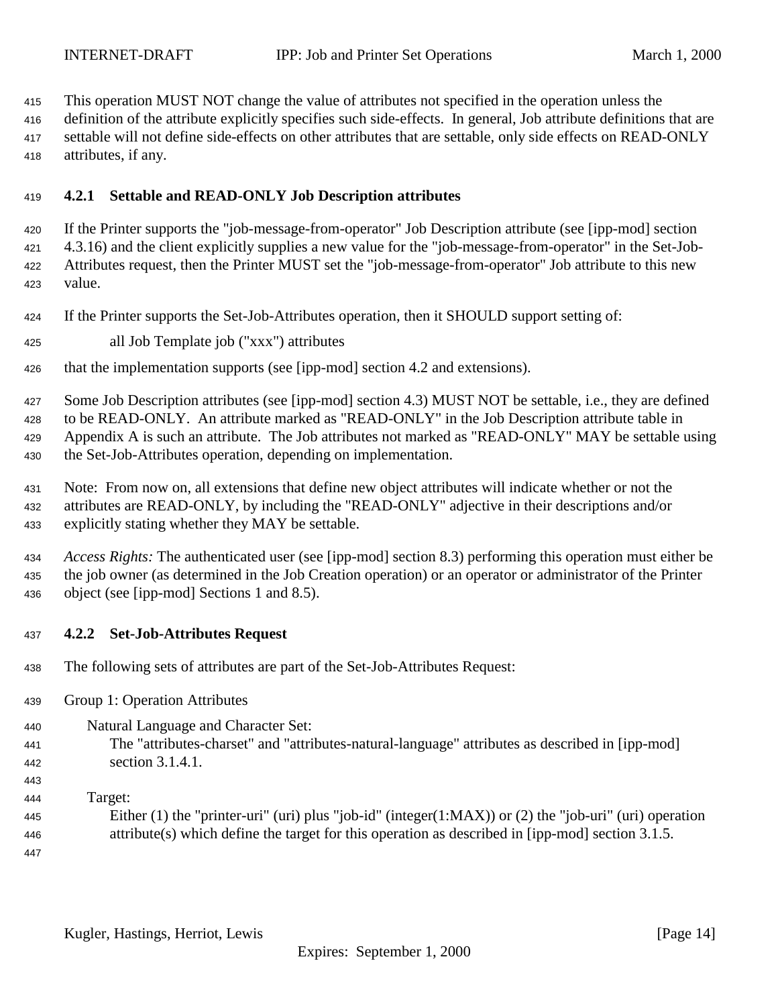<span id="page-13-0"></span>This operation MUST NOT change the value of attributes not specified in the operation unless the

 definition of the attribute explicitly specifies such side-effects. In general, Job attribute definitions that are settable will not define side-effects on other attributes that are settable, only side effects on READ-ONLY attributes, if any.

## **4.2.1 Settable and READ-ONLY Job Description attributes**

 If the Printer supports the "job-message-from-operator" Job Description attribute (see [ipp-mod] section 4.3.16) and the client explicitly supplies a new value for the "job-message-from-operator" in the Set-Job- Attributes request, then the Printer MUST set the "job-message-from-operator" Job attribute to this new value.

If the Printer supports the Set-Job-Attributes operation, then it SHOULD support setting of:

all Job Template job ("xxx") attributes

that the implementation supports (see [ipp-mod] section 4.2 and extensions).

 Some Job Description attributes (see [ipp-mod] section 4.3) MUST NOT be settable, i.e., they are defined to be READ-ONLY. An attribute marked as "READ-ONLY" in the Job Description attribute table in Appendix A is such an attribute. The Job attributes not marked as "READ-ONLY" MAY be settable using the Set-Job-Attributes operation, depending on implementation.

- Note: From now on, all extensions that define new object attributes will indicate whether or not the attributes are READ-ONLY, by including the "READ-ONLY" adjective in their descriptions and/or explicitly stating whether they MAY be settable.
- *Access Rights:* The authenticated user (see [ipp-mod] section 8.3) performing this operation must either be the job owner (as determined in the Job Creation operation) or an operator or administrator of the Printer object (see [ipp-mod] Sections 1 and 8.5).

## **4.2.2 Set-Job-Attributes Request**

- The following sets of attributes are part of the Set-Job-Attributes Request:
- Group 1: Operation Attributes

Natural Language and Character Set:

- The "attributes-charset" and "attributes-natural-language" attributes as described in [ipp-mod] section 3.1.4.1.
- 

Target:

 Either (1) the "printer-uri" (uri) plus "job-id" (integer(1:MAX)) or (2) the "job-uri" (uri) operation attribute(s) which define the target for this operation as described in [ipp-mod] section 3.1.5.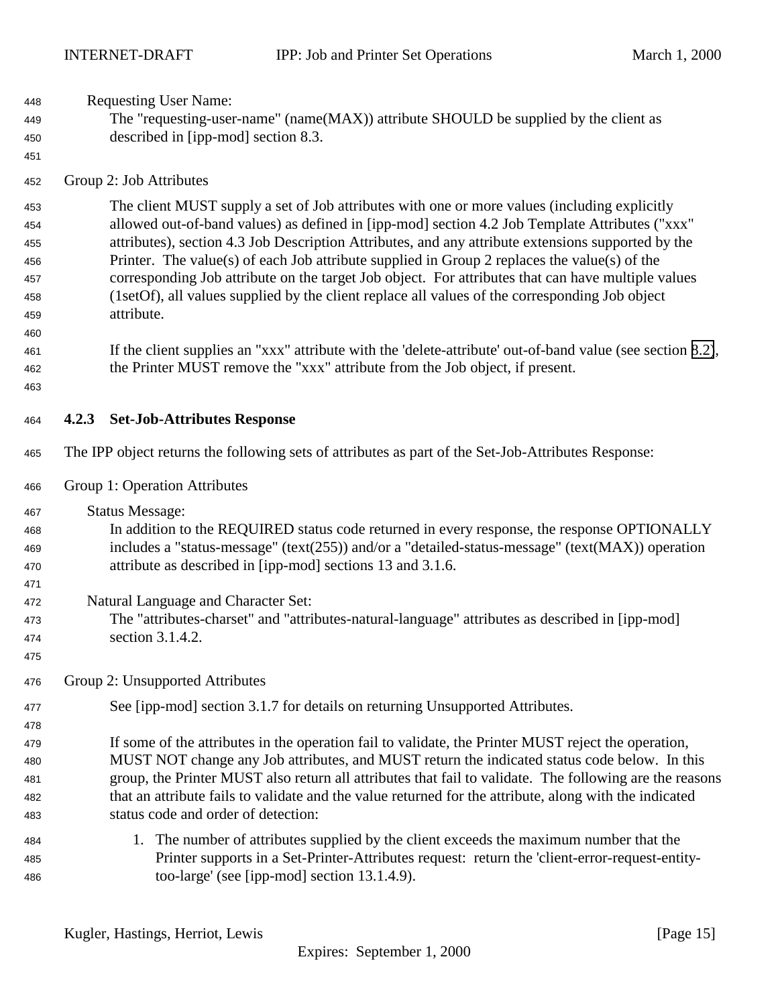<span id="page-14-0"></span>

| 448<br>449<br>450<br>451                             | <b>Requesting User Name:</b><br>The "requesting-user-name" (name(MAX)) attribute SHOULD be supplied by the client as<br>described in [ipp-mod] section 8.3. |                                                                                                                                                                                                                                                                                                                                                                                                                                                                                                                                                                                                                            |  |  |  |
|------------------------------------------------------|-------------------------------------------------------------------------------------------------------------------------------------------------------------|----------------------------------------------------------------------------------------------------------------------------------------------------------------------------------------------------------------------------------------------------------------------------------------------------------------------------------------------------------------------------------------------------------------------------------------------------------------------------------------------------------------------------------------------------------------------------------------------------------------------------|--|--|--|
| 452                                                  | Group 2: Job Attributes                                                                                                                                     |                                                                                                                                                                                                                                                                                                                                                                                                                                                                                                                                                                                                                            |  |  |  |
| 453<br>454<br>455<br>456<br>457<br>458<br>459<br>460 |                                                                                                                                                             | The client MUST supply a set of Job attributes with one or more values (including explicitly<br>allowed out-of-band values) as defined in [ipp-mod] section 4.2 Job Template Attributes ("xxx"<br>attributes), section 4.3 Job Description Attributes, and any attribute extensions supported by the<br>Printer. The value(s) of each Job attribute supplied in Group 2 replaces the value(s) of the<br>corresponding Job attribute on the target Job object. For attributes that can have multiple values<br>(1setOf), all values supplied by the client replace all values of the corresponding Job object<br>attribute. |  |  |  |
| 461<br>462<br>463                                    |                                                                                                                                                             | If the client supplies an "xxx" attribute with the 'delete-attribute' out-of-band value (see section 8.2),<br>the Printer MUST remove the "xxx" attribute from the Job object, if present.                                                                                                                                                                                                                                                                                                                                                                                                                                 |  |  |  |
| 464                                                  | 4.2.3                                                                                                                                                       | <b>Set-Job-Attributes Response</b>                                                                                                                                                                                                                                                                                                                                                                                                                                                                                                                                                                                         |  |  |  |
| 465                                                  |                                                                                                                                                             | The IPP object returns the following sets of attributes as part of the Set-Job-Attributes Response:                                                                                                                                                                                                                                                                                                                                                                                                                                                                                                                        |  |  |  |
| 466                                                  |                                                                                                                                                             | Group 1: Operation Attributes                                                                                                                                                                                                                                                                                                                                                                                                                                                                                                                                                                                              |  |  |  |
| 467<br>468<br>469<br>470<br>471                      |                                                                                                                                                             | <b>Status Message:</b><br>In addition to the REQUIRED status code returned in every response, the response OPTIONALLY<br>includes a "status-message" (text(255)) and/or a "detailed-status-message" (text(MAX)) operation<br>attribute as described in [ipp-mod] sections 13 and 3.1.6.                                                                                                                                                                                                                                                                                                                                    |  |  |  |
| 472<br>473<br>474<br>475                             |                                                                                                                                                             | Natural Language and Character Set:<br>The "attributes-charset" and "attributes-natural-language" attributes as described in [ipp-mod]<br>section 3.1.4.2.                                                                                                                                                                                                                                                                                                                                                                                                                                                                 |  |  |  |
| 476                                                  |                                                                                                                                                             | Group 2: Unsupported Attributes                                                                                                                                                                                                                                                                                                                                                                                                                                                                                                                                                                                            |  |  |  |
| 477<br>478<br>479                                    |                                                                                                                                                             | See [ipp-mod] section 3.1.7 for details on returning Unsupported Attributes.<br>If some of the attributes in the operation fail to validate, the Printer MUST reject the operation,                                                                                                                                                                                                                                                                                                                                                                                                                                        |  |  |  |
| 480<br>481<br>482<br>483                             |                                                                                                                                                             | MUST NOT change any Job attributes, and MUST return the indicated status code below. In this<br>group, the Printer MUST also return all attributes that fail to validate. The following are the reasons<br>that an attribute fails to validate and the value returned for the attribute, along with the indicated<br>status code and order of detection:                                                                                                                                                                                                                                                                   |  |  |  |
| 484<br>485<br>486                                    |                                                                                                                                                             | 1. The number of attributes supplied by the client exceeds the maximum number that the<br>Printer supports in a Set-Printer-Attributes request: return the 'client-error-request-entity-<br>too-large' (see [ipp-mod] section 13.1.4.9).                                                                                                                                                                                                                                                                                                                                                                                   |  |  |  |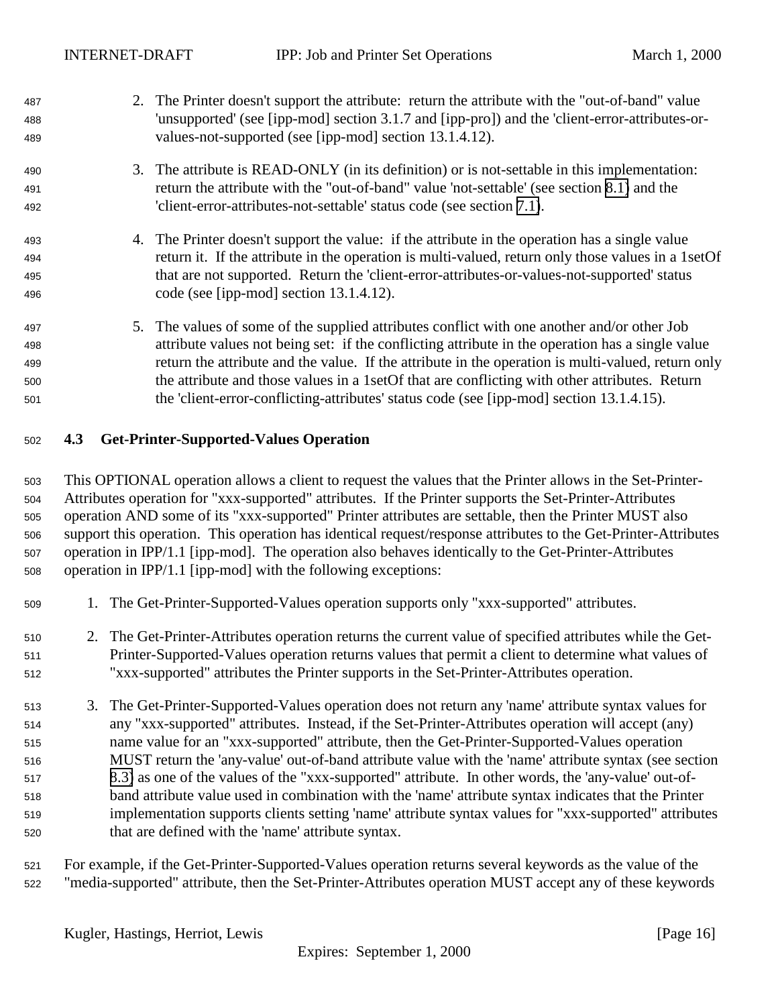<span id="page-15-0"></span>

| 487<br>488<br>489        | 2. The Printer doesn't support the attribute: return the attribute with the "out-of-band" value<br>'unsupported' (see [ipp-mod] section 3.1.7 and [ipp-pro]) and the 'client-error-attributes-or-<br>values-not-supported (see [ipp-mod] section 13.1.4.12).                                                                                       |
|--------------------------|----------------------------------------------------------------------------------------------------------------------------------------------------------------------------------------------------------------------------------------------------------------------------------------------------------------------------------------------------|
| 490                      | 3. The attribute is READ-ONLY (in its definition) or is not-settable in this implementation:                                                                                                                                                                                                                                                       |
| 491                      | return the attribute with the "out-of-band" value 'not-settable' (see section 8.1) and the                                                                                                                                                                                                                                                         |
| 492                      | 'client-error-attributes-not-settable' status code (see section 7.1).                                                                                                                                                                                                                                                                              |
| 493<br>494<br>495<br>496 | 4. The Printer doesn't support the value: if the attribute in the operation has a single value<br>return it. If the attribute in the operation is multi-valued, return only those values in a 1set Of<br>that are not supported. Return the 'client-error-attributes-or-values-not-supported' status<br>code (see [ipp-mod] section $13.1.4.12$ ). |
| 497                      | 5. The values of some of the supplied attributes conflict with one another and/or other Job                                                                                                                                                                                                                                                        |
| 498                      | attribute values not being set: if the conflicting attribute in the operation has a single value                                                                                                                                                                                                                                                   |
| 499                      | return the attribute and the value. If the attribute in the operation is multi-valued, return only                                                                                                                                                                                                                                                 |
| 500                      | the attribute and those values in a 1set Of that are conflicting with other attributes. Return                                                                                                                                                                                                                                                     |
| 501                      | the 'client-error-conflicting-attributes' status code (see [ipp-mod] section 13.1.4.15).                                                                                                                                                                                                                                                           |

## **4.3 Get-Printer-Supported-Values Operation**

 This OPTIONAL operation allows a client to request the values that the Printer allows in the Set-Printer- Attributes operation for "xxx-supported" attributes. If the Printer supports the Set-Printer-Attributes operation AND some of its "xxx-supported" Printer attributes are settable, then the Printer MUST also support this operation. This operation has identical request/response attributes to the Get-Printer-Attributes operation in IPP/1.1 [ipp-mod]. The operation also behaves identically to the Get-Printer-Attributes operation in IPP/1.1 [ipp-mod] with the following exceptions:

- 1. The Get-Printer-Supported-Values operation supports only "xxx-supported" attributes.
- 2. The Get-Printer-Attributes operation returns the current value of specified attributes while the Get- Printer-Supported-Values operation returns values that permit a client to determine what values of "xxx-supported" attributes the Printer supports in the Set-Printer-Attributes operation.
- 3. The Get-Printer-Supported-Values operation does not return any 'name' attribute syntax values for any "xxx-supported" attributes. Instead, if the Set-Printer-Attributes operation will accept (any) name value for an "xxx-supported" attribute, then the Get-Printer-Supported-Values operation MUST return the 'any-value' out-of-band attribute value with the 'name' attribute syntax (see section [8.3\)](#page-21-0) as one of the values of the "xxx-supported" attribute. In other words, the 'any-value' out-of- band attribute value used in combination with the 'name' attribute syntax indicates that the Printer implementation supports clients setting 'name' attribute syntax values for "xxx-supported" attributes that are defined with the 'name' attribute syntax.
- For example, if the Get-Printer-Supported-Values operation returns several keywords as the value of the "media-supported" attribute, then the Set-Printer-Attributes operation MUST accept any of these keywords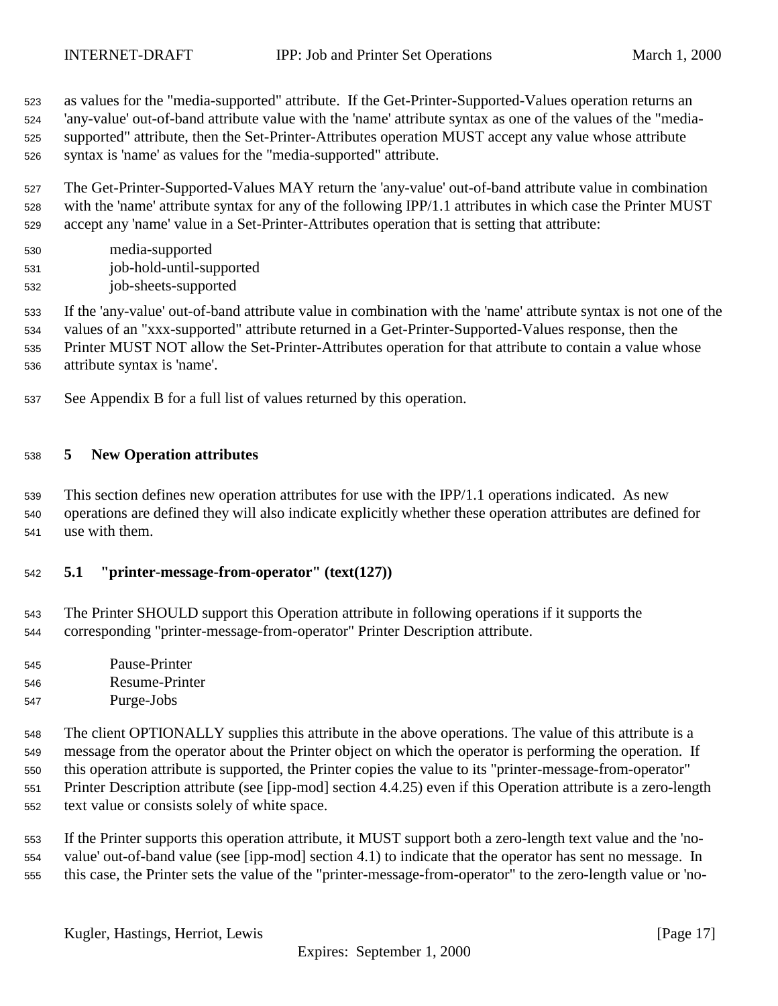<span id="page-16-0"></span> as values for the "media-supported" attribute. If the Get-Printer-Supported-Values operation returns an 'any-value' out-of-band attribute value with the 'name' attribute syntax as one of the values of the "media- supported" attribute, then the Set-Printer-Attributes operation MUST accept any value whose attribute syntax is 'name' as values for the "media-supported" attribute.

 The Get-Printer-Supported-Values MAY return the 'any-value' out-of-band attribute value in combination with the 'name' attribute syntax for any of the following IPP/1.1 attributes in which case the Printer MUST accept any 'name' value in a Set-Printer-Attributes operation that is setting that attribute:

- media-supported job-hold-until-supported
- job-sheets-supported

 If the 'any-value' out-of-band attribute value in combination with the 'name' attribute syntax is not one of the values of an "xxx-supported" attribute returned in a Get-Printer-Supported-Values response, then the Printer MUST NOT allow the Set-Printer-Attributes operation for that attribute to contain a value whose attribute syntax is 'name'.

See Appendix B for a full list of values returned by this operation.

## **5 New Operation attributes**

 This section defines new operation attributes for use with the IPP/1.1 operations indicated. As new operations are defined they will also indicate explicitly whether these operation attributes are defined for use with them.

## **5.1 "printer-message-from-operator" (text(127))**

 The Printer SHOULD support this Operation attribute in following operations if it supports the corresponding "printer-message-from-operator" Printer Description attribute.

 Pause-Printer Resume-Printer Purge-Jobs

 The client OPTIONALLY supplies this attribute in the above operations. The value of this attribute is a message from the operator about the Printer object on which the operator is performing the operation. If this operation attribute is supported, the Printer copies the value to its "printer-message-from-operator" Printer Description attribute (see [ipp-mod] section 4.4.25) even if this Operation attribute is a zero-length text value or consists solely of white space.

 If the Printer supports this operation attribute, it MUST support both a zero-length text value and the 'no- value' out-of-band value (see [ipp-mod] section 4.1) to indicate that the operator has sent no message. In this case, the Printer sets the value of the "printer-message-from-operator" to the zero-length value or 'no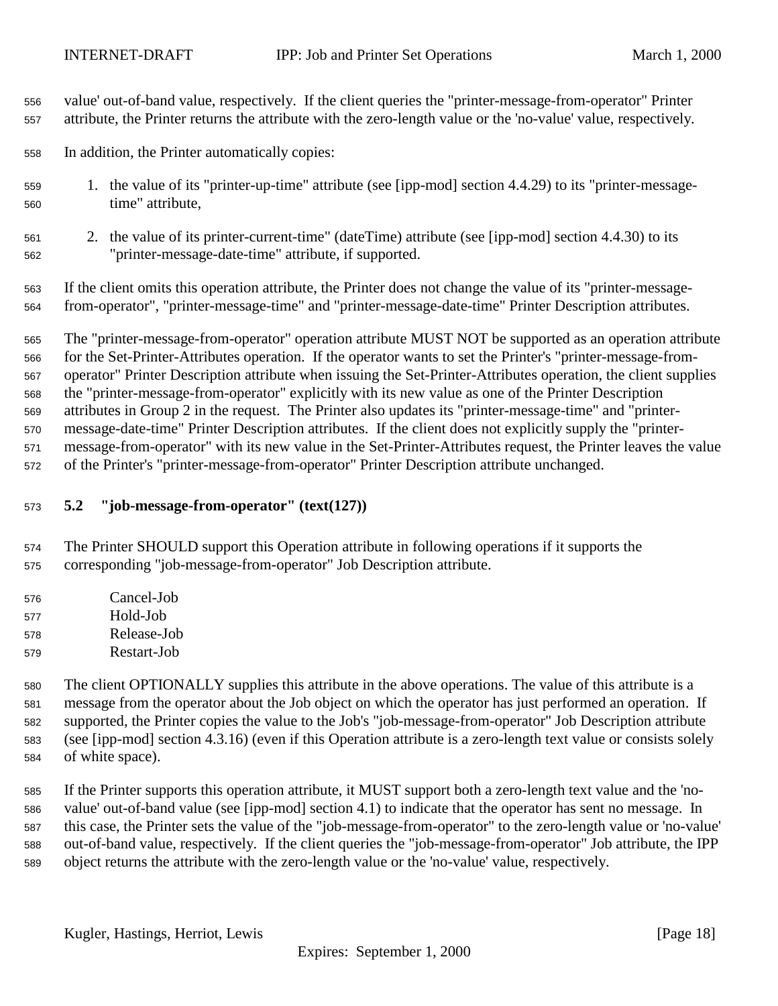<span id="page-17-0"></span> value' out-of-band value, respectively. If the client queries the "printer-message-from-operator" Printer attribute, the Printer returns the attribute with the zero-length value or the 'no-value' value, respectively.

In addition, the Printer automatically copies:

- 1. the value of its "printer-up-time" attribute (see [ipp-mod] section 4.4.29) to its "printer-message-time" attribute,
- 2. the value of its printer-current-time" (dateTime) attribute (see [ipp-mod] section 4.4.30) to its "printer-message-date-time" attribute, if supported.

 If the client omits this operation attribute, the Printer does not change the value of its "printer-message-from-operator", "printer-message-time" and "printer-message-date-time" Printer Description attributes.

 The "printer-message-from-operator" operation attribute MUST NOT be supported as an operation attribute for the Set-Printer-Attributes operation. If the operator wants to set the Printer's "printer-message-from- operator" Printer Description attribute when issuing the Set-Printer-Attributes operation, the client supplies the "printer-message-from-operator" explicitly with its new value as one of the Printer Description attributes in Group 2 in the request. The Printer also updates its "printer-message-time" and "printer- message-date-time" Printer Description attributes. If the client does not explicitly supply the "printer- message-from-operator" with its new value in the Set-Printer-Attributes request, the Printer leaves the value of the Printer's "printer-message-from-operator" Printer Description attribute unchanged.

- **5.2 "job-message-from-operator" (text(127))**
- The Printer SHOULD support this Operation attribute in following operations if it supports the corresponding "job-message-from-operator" Job Description attribute.
- Cancel-Job Hold-Job
- Release-Job
- Restart-Job

 The client OPTIONALLY supplies this attribute in the above operations. The value of this attribute is a message from the operator about the Job object on which the operator has just performed an operation. If supported, the Printer copies the value to the Job's "job-message-from-operator" Job Description attribute (see [ipp-mod] section 4.3.16) (even if this Operation attribute is a zero-length text value or consists solely of white space).

 If the Printer supports this operation attribute, it MUST support both a zero-length text value and the 'no- value' out-of-band value (see [ipp-mod] section 4.1) to indicate that the operator has sent no message. In this case, the Printer sets the value of the "job-message-from-operator" to the zero-length value or 'no-value' out-of-band value, respectively. If the client queries the "job-message-from-operator" Job attribute, the IPP object returns the attribute with the zero-length value or the 'no-value' value, respectively.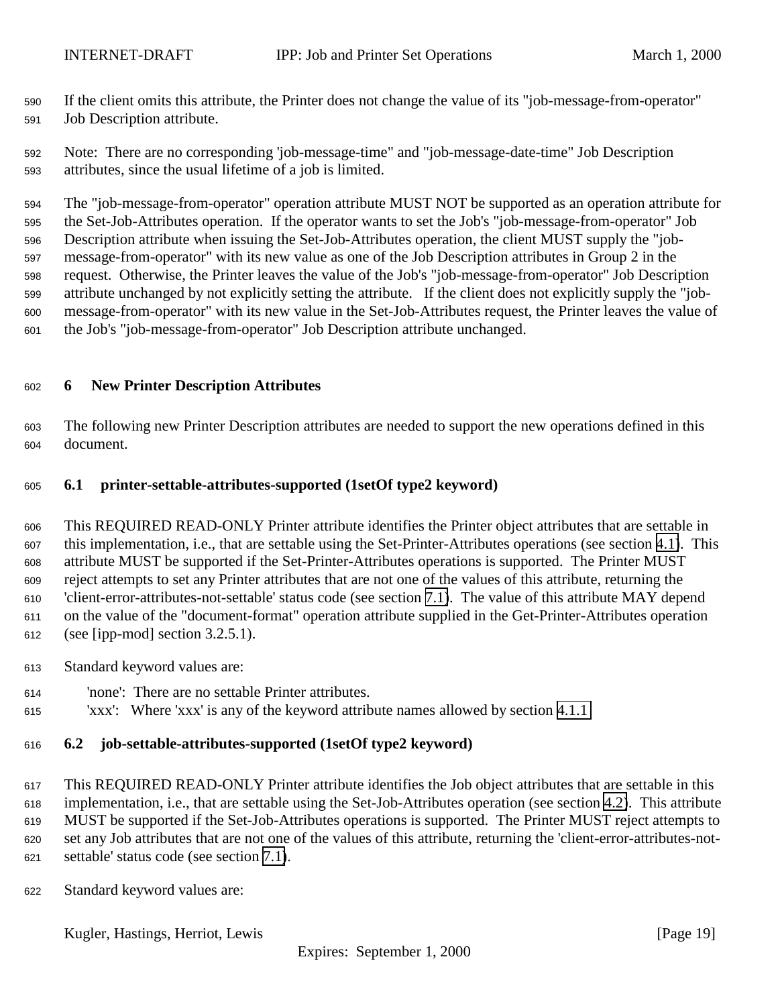<span id="page-18-0"></span> If the client omits this attribute, the Printer does not change the value of its "job-message-from-operator" Job Description attribute.

 Note: There are no corresponding 'job-message-time" and "job-message-date-time" Job Description attributes, since the usual lifetime of a job is limited.

 The "job-message-from-operator" operation attribute MUST NOT be supported as an operation attribute for the Set-Job-Attributes operation. If the operator wants to set the Job's "job-message-from-operator" Job Description attribute when issuing the Set-Job-Attributes operation, the client MUST supply the "job- message-from-operator" with its new value as one of the Job Description attributes in Group 2 in the request. Otherwise, the Printer leaves the value of the Job's "job-message-from-operator" Job Description attribute unchanged by not explicitly setting the attribute. If the client does not explicitly supply the "job- message-from-operator" with its new value in the Set-Job-Attributes request, the Printer leaves the value of the Job's "job-message-from-operator" Job Description attribute unchanged.

## **6 New Printer Description Attributes**

 The following new Printer Description attributes are needed to support the new operations defined in this document.

## **6.1 printer-settable-attributes-supported (1setOf type2 keyword)**

 This REQUIRED READ-ONLY Printer attribute identifies the Printer object attributes that are settable in this implementation, i.e., that are settable using the Set-Printer-Attributes operations (see section [4.1\)](#page-7-0). This attribute MUST be supported if the Set-Printer-Attributes operations is supported. The Printer MUST reject attempts to set any Printer attributes that are not one of the values of this attribute, returning the 'client-error-attributes-not-settable' status code (see section [7.1\)](#page-20-0). The value of this attribute MAY depend on the value of the "document-format" operation attribute supplied in the Get-Printer-Attributes operation (see [ipp-mod] section 3.2.5.1).

- Standard keyword values are:
- 'none': There are no settable Printer attributes.
- 'xxx': Where 'xxx' is any of the keyword attribute names allowed by section [4.1.1](#page-8-0)

## **6.2 job-settable-attributes-supported (1setOf type2 keyword)**

 This REQUIRED READ-ONLY Printer attribute identifies the Job object attributes that are settable in this implementation, i.e., that are settable using the Set-Job-Attributes operation (see section [4.2\)](#page-11-0). This attribute MUST be supported if the Set-Job-Attributes operations is supported. The Printer MUST reject attempts to set any Job attributes that are not one of the values of this attribute, returning the 'client-error-attributes-not-settable' status code (see section [7.1\)](#page-20-0).

Standard keyword values are:

Kugler, Hastings, Herriot, Lewis [Page 19]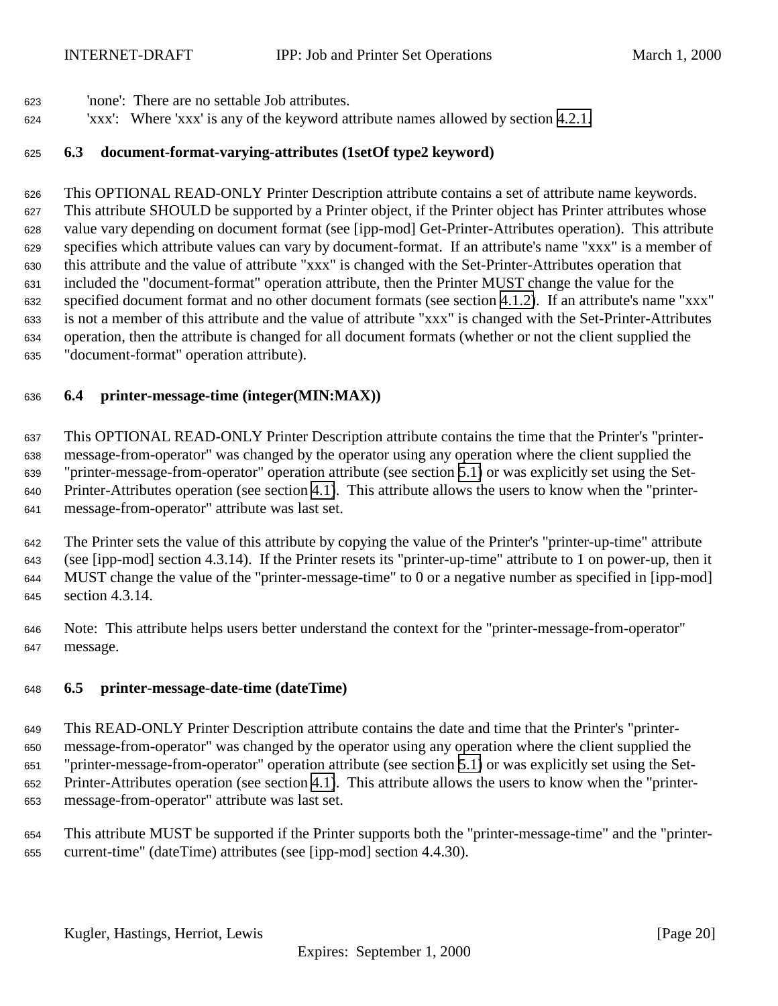- <span id="page-19-0"></span>'none': There are no settable Job attributes.
- 'xxx': Where 'xxx' is any of the keyword attribute names allowed by section [4.2.1.](#page-13-0)

## **6.3 document-format-varying-attributes (1setOf type2 keyword)**

 This OPTIONAL READ-ONLY Printer Description attribute contains a set of attribute name keywords. This attribute SHOULD be supported by a Printer object, if the Printer object has Printer attributes whose value vary depending on document format (see [ipp-mod] Get-Printer-Attributes operation). This attribute specifies which attribute values can vary by document-format. If an attribute's name "xxx" is a member of this attribute and the value of attribute "xxx" is changed with the Set-Printer-Attributes operation that included the "document-format" operation attribute, then the Printer MUST change the value for the specified document format and no other document formats (see section [4.1.2\)](#page-9-0). If an attribute's name "xxx" is not a member of this attribute and the value of attribute "xxx" is changed with the Set-Printer-Attributes operation, then the attribute is changed for all document formats (whether or not the client supplied the "document-format" operation attribute).

## **6.4 printer-message-time (integer(MIN:MAX))**

 This OPTIONAL READ-ONLY Printer Description attribute contains the time that the Printer's "printer- message-from-operator" was changed by the operator using any operation where the client supplied the "printer-message-from-operator" operation attribute (see section [5.1\)](#page-16-0) or was explicitly set using the Set- Printer-Attributes operation (see section [4.1\)](#page-7-0). This attribute allows the users to know when the "printer-message-from-operator" attribute was last set.

 The Printer sets the value of this attribute by copying the value of the Printer's "printer-up-time" attribute (see [ipp-mod] section 4.3.14). If the Printer resets its "printer-up-time" attribute to 1 on power-up, then it MUST change the value of the "printer-message-time" to 0 or a negative number as specified in [ipp-mod] section 4.3.14.

 Note: This attribute helps users better understand the context for the "printer-message-from-operator" message.

## **6.5 printer-message-date-time (dateTime)**

 This READ-ONLY Printer Description attribute contains the date and time that the Printer's "printer- message-from-operator" was changed by the operator using any operation where the client supplied the "printer-message-from-operator" operation attribute (see section [5.1\)](#page-16-0) or was explicitly set using the Set- Printer-Attributes operation (see section [4.1\)](#page-7-0). This attribute allows the users to know when the "printer-message-from-operator" attribute was last set.

 This attribute MUST be supported if the Printer supports both the "printer-message-time" and the "printer-current-time" (dateTime) attributes (see [ipp-mod] section 4.4.30).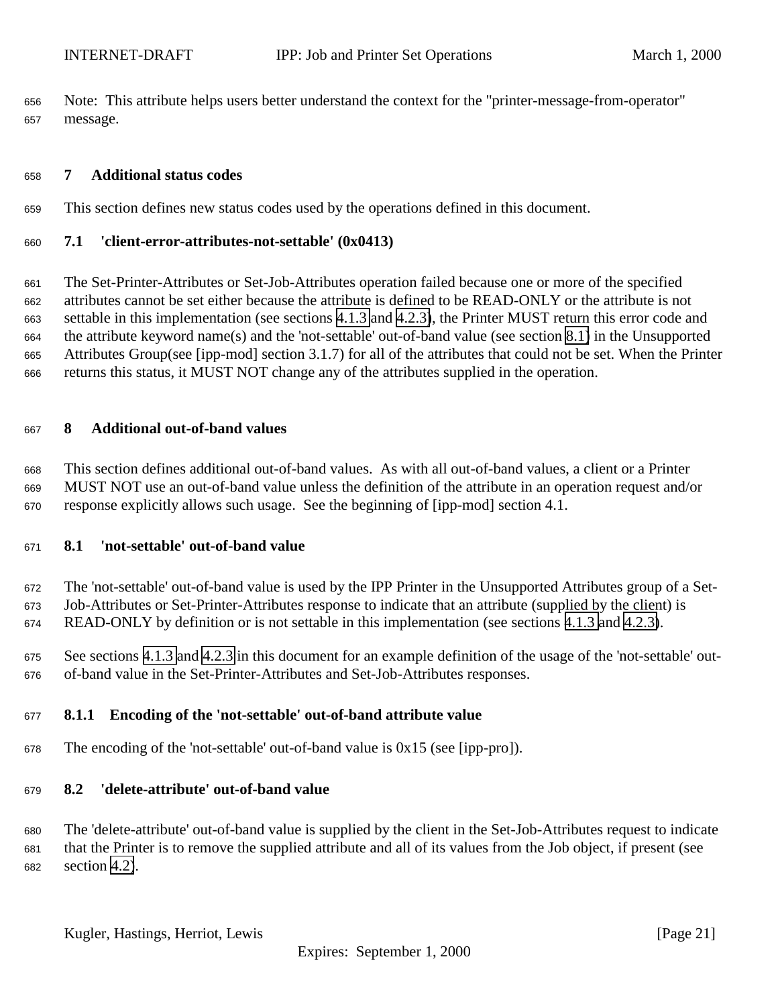<span id="page-20-0"></span> Note: This attribute helps users better understand the context for the "printer-message-from-operator" message.

## **7 Additional status codes**

This section defines new status codes used by the operations defined in this document.

## **7.1 'client-error-attributes-not-settable' (0x0413)**

 The Set-Printer-Attributes or Set-Job-Attributes operation failed because one or more of the specified attributes cannot be set either because the attribute is defined to be READ-ONLY or the attribute is not settable in this implementation (see sections [4.1.3](#page-10-0) and [4.2.3\)](#page-14-0), the Printer MUST return this error code and the attribute keyword name(s) and the 'not-settable' out-of-band value (see section 8.1) in the Unsupported Attributes Group(see [ipp-mod] section 3.1.7) for all of the attributes that could not be set. When the Printer returns this status, it MUST NOT change any of the attributes supplied in the operation.

#### **8 Additional out-of-band values**

 This section defines additional out-of-band values. As with all out-of-band values, a client or a Printer MUST NOT use an out-of-band value unless the definition of the attribute in an operation request and/or response explicitly allows such usage. See the beginning of [ipp-mod] section 4.1.

#### **8.1 'not-settable' out-of-band value**

 The 'not-settable' out-of-band value is used by the IPP Printer in the Unsupported Attributes group of a Set-Job-Attributes or Set-Printer-Attributes response to indicate that an attribute (supplied by the client) is

READ-ONLY by definition or is not settable in this implementation (see sections [4.1.3](#page-10-0) and [4.2.3\)](#page-14-0).

 See sections [4.1.3](#page-10-0) and [4.2.3](#page-14-0) in this document for an example definition of the usage of the 'not-settable' out-of-band value in the Set-Printer-Attributes and Set-Job-Attributes responses.

## **8.1.1 Encoding of the 'not-settable' out-of-band attribute value**

The encoding of the 'not-settable' out-of-band value is 0x15 (see [ipp-pro]).

## **8.2 'delete-attribute' out-of-band value**

 The 'delete-attribute' out-of-band value is supplied by the client in the Set-Job-Attributes request to indicate that the Printer is to remove the supplied attribute and all of its values from the Job object, if present (see section [4.2\)](#page-11-0).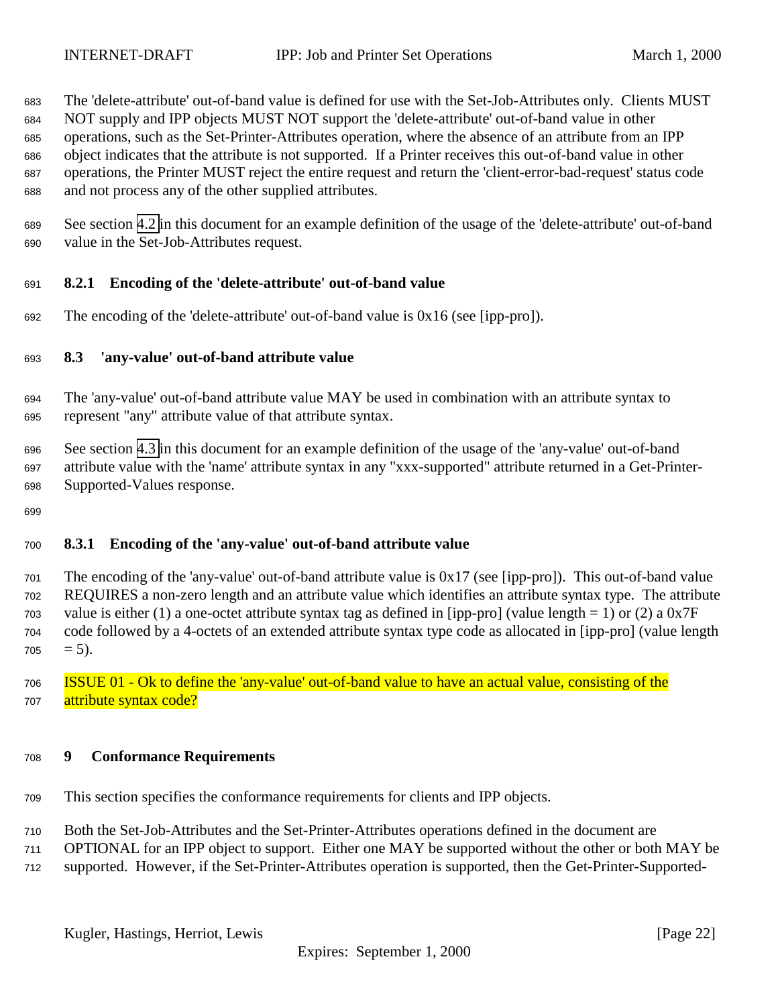<span id="page-21-0"></span> The 'delete-attribute' out-of-band value is defined for use with the Set-Job-Attributes only. Clients MUST NOT supply and IPP objects MUST NOT support the 'delete-attribute' out-of-band value in other operations, such as the Set-Printer-Attributes operation, where the absence of an attribute from an IPP object indicates that the attribute is not supported. If a Printer receives this out-of-band value in other operations, the Printer MUST reject the entire request and return the 'client-error-bad-request' status code and not process any of the other supplied attributes.

 See section [4.2](#page-11-0) in this document for an example definition of the usage of the 'delete-attribute' out-of-band value in the Set-Job-Attributes request.

## **8.2.1 Encoding of the 'delete-attribute' out-of-band value**

692 The encoding of the 'delete-attribute' out-of-band value is  $0x16$  (see [ipp-pro]).

## **8.3 'any-value' out-of-band attribute value**

- The 'any-value' out-of-band attribute value MAY be used in combination with an attribute syntax to represent "any" attribute value of that attribute syntax.
- See section [4.3](#page-15-0) in this document for an example definition of the usage of the 'any-value' out-of-band attribute value with the 'name' attribute syntax in any "xxx-supported" attribute returned in a Get-Printer-Supported-Values response.
- 

## **8.3.1 Encoding of the 'any-value' out-of-band attribute value**

- The encoding of the 'any-value' out-of-band attribute value is 0x17 (see [ipp-pro]). This out-of-band value REQUIRES a non-zero length and an attribute value which identifies an attribute syntax type. The attribute value is either (1) a one-octet attribute syntax tag as defined in [ipp-pro] (value length = 1) or (2) a  $0x7F$  code followed by a 4-octets of an extended attribute syntax type code as allocated in [ipp-pro] (value length  $705 = 5$ ).
- ISSUE 01 Ok to define the 'any-value' out-of-band value to have an actual value, consisting of the 707 attribute syntax code?

#### **9 Conformance Requirements**

- This section specifies the conformance requirements for clients and IPP objects.
- Both the Set-Job-Attributes and the Set-Printer-Attributes operations defined in the document are
- OPTIONAL for an IPP object to support. Either one MAY be supported without the other or both MAY be
- supported. However, if the Set-Printer-Attributes operation is supported, then the Get-Printer-Supported-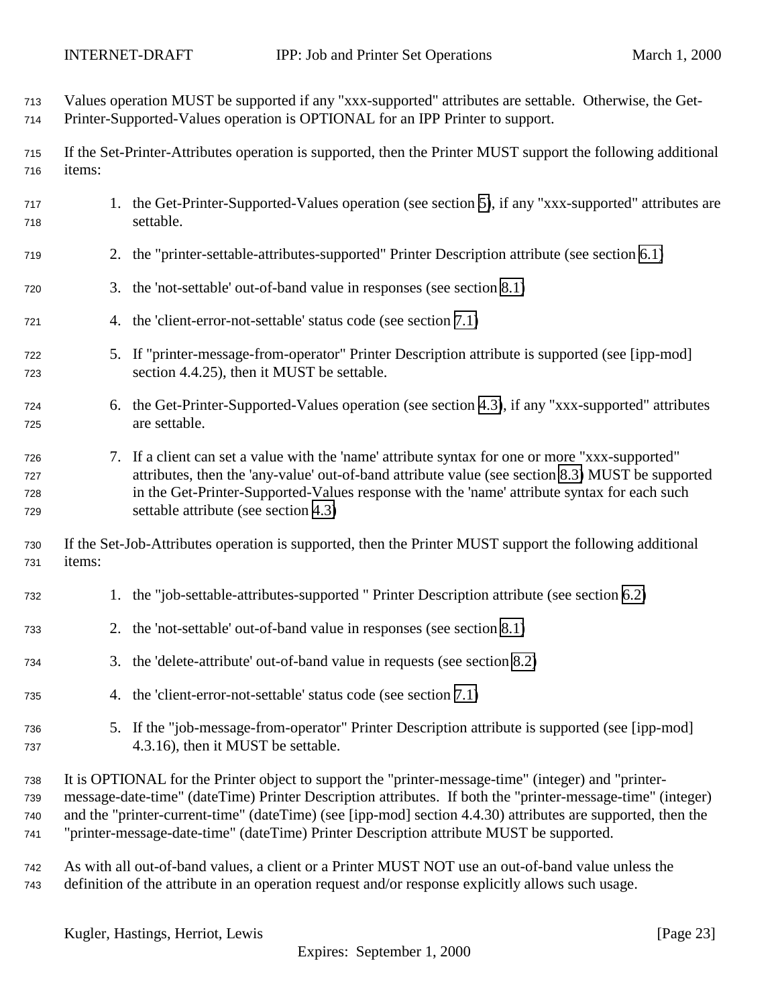Values operation MUST be supported if any "xxx-supported" attributes are settable. Otherwise, the Get-Printer-Supported-Values operation is OPTIONAL for an IPP Printer to support.

 If the Set-Printer-Attributes operation is supported, then the Printer MUST support the following additional items:

- 1. the Get-Printer-Supported-Values operation (see section [5\)](#page-15-0), if any "xxx-supported" attributes are settable.
- 2. the "printer-settable-attributes-supported" Printer Description attribute (see section [6.1\)](#page-18-0)
- 3. the 'not-settable' out-of-band value in responses (see section [8.1\)](#page-20-0)
- 4. the 'client-error-not-settable' status code (see section [7.1\)](#page-20-0)
- 5. If "printer-message-from-operator" Printer Description attribute is supported (see [ipp-mod] section 4.4.25), then it MUST be settable.
- 6. the Get-Printer-Supported-Values operation (see section [4.3\)](#page-15-0), if any "xxx-supported" attributes are settable.

## 7. If a client can set a value with the 'name' attribute syntax for one or more "xxx-supported" attributes, then the 'any-value' out-of-band attribute value (see section [8.3\)](#page-21-0) MUST be supported in the Get-Printer-Supported-Values response with the 'name' attribute syntax for each such settable attribute (see section [4.3\)](#page-15-0)

 If the Set-Job-Attributes operation is supported, then the Printer MUST support the following additional items:

- 1. the "job-settable-attributes-supported " Printer Description attribute (see section [6.2\)](#page-18-0)
- 2. the 'not-settable' out-of-band value in responses (see section [8.1\)](#page-20-0)
- 3. the 'delete-attribute' out-of-band value in requests (see section [8.2\)](#page-20-0)
- 4. the 'client-error-not-settable' status code (see section [7.1\)](#page-20-0)
- 5. If the "job-message-from-operator" Printer Description attribute is supported (see [ipp-mod] 4.3.16), then it MUST be settable.
- It is OPTIONAL for the Printer object to support the "printer-message-time" (integer) and "printer- message-date-time" (dateTime) Printer Description attributes. If both the "printer-message-time" (integer) and the "printer-current-time" (dateTime) (see [ipp-mod] section 4.4.30) attributes are supported, then the "printer-message-date-time" (dateTime) Printer Description attribute MUST be supported.
- As with all out-of-band values, a client or a Printer MUST NOT use an out-of-band value unless the definition of the attribute in an operation request and/or response explicitly allows such usage.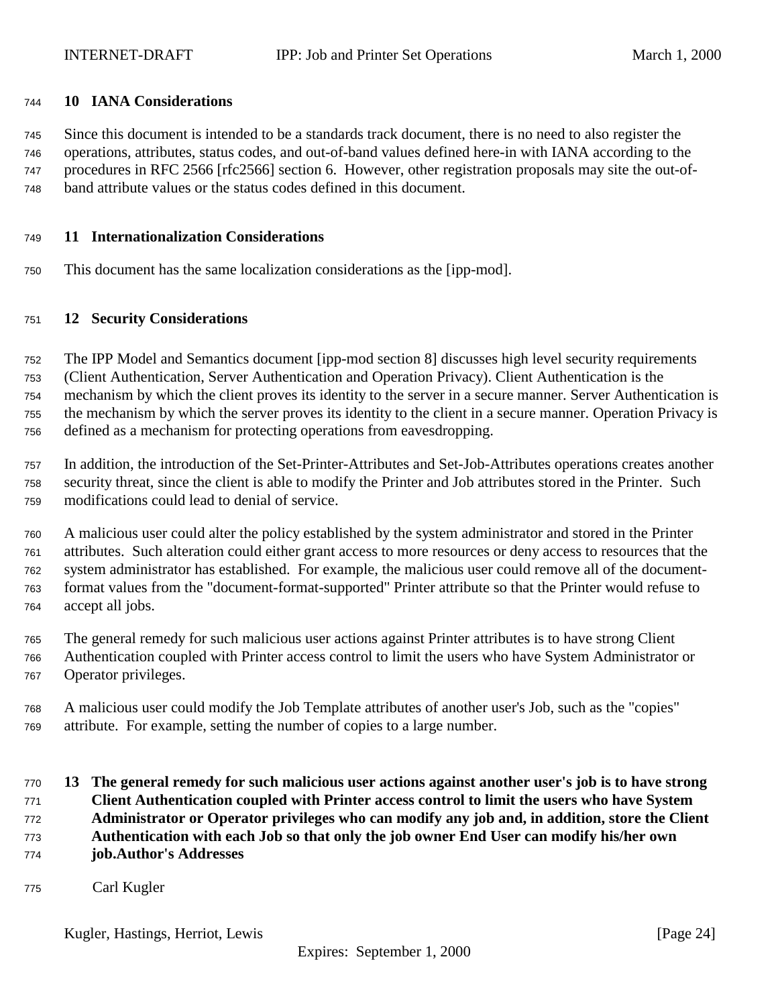#### <span id="page-23-0"></span>**10 IANA Considerations**

 Since this document is intended to be a standards track document, there is no need to also register the operations, attributes, status codes, and out-of-band values defined here-in with IANA according to the procedures in RFC 2566 [rfc2566] section 6. However, other registration proposals may site the out-of-band attribute values or the status codes defined in this document.

#### **11 Internationalization Considerations**

This document has the same localization considerations as the [ipp-mod].

#### **12 Security Considerations**

 The IPP Model and Semantics document [ipp-mod section 8] discusses high level security requirements (Client Authentication, Server Authentication and Operation Privacy). Client Authentication is the mechanism by which the client proves its identity to the server in a secure manner. Server Authentication is the mechanism by which the server proves its identity to the client in a secure manner. Operation Privacy is defined as a mechanism for protecting operations from eavesdropping.

 In addition, the introduction of the Set-Printer-Attributes and Set-Job-Attributes operations creates another security threat, since the client is able to modify the Printer and Job attributes stored in the Printer. Such modifications could lead to denial of service.

 A malicious user could alter the policy established by the system administrator and stored in the Printer attributes. Such alteration could either grant access to more resources or deny access to resources that the system administrator has established. For example, the malicious user could remove all of the document- format values from the "document-format-supported" Printer attribute so that the Printer would refuse to accept all jobs.

 The general remedy for such malicious user actions against Printer attributes is to have strong Client Authentication coupled with Printer access control to limit the users who have System Administrator or Operator privileges.

 A malicious user could modify the Job Template attributes of another user's Job, such as the "copies" attribute. For example, setting the number of copies to a large number.

## **13 The general remedy for such malicious user actions against another user's job is to have strong Client Authentication coupled with Printer access control to limit the users who have System Administrator or Operator privileges who can modify any job and, in addition, store the Client Authentication with each Job so that only the job owner End User can modify his/her own job.Author's Addresses**

Carl Kugler

Kugler, Hastings, Herriot, Lewis [Page 24]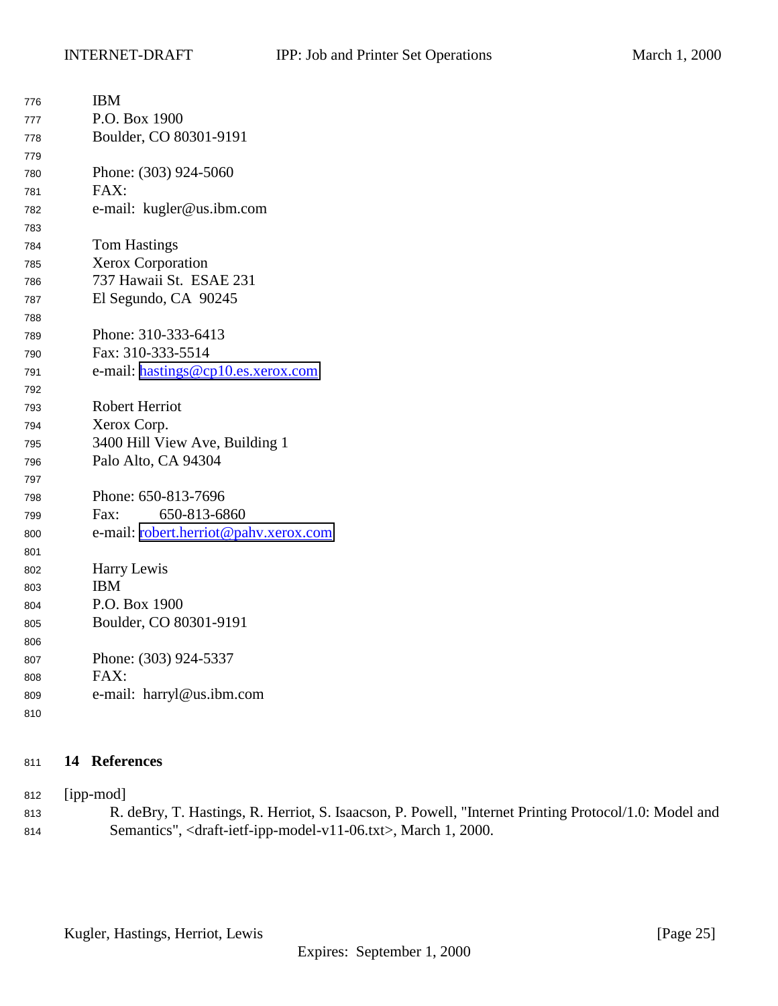<span id="page-24-0"></span>

| 776 | <b>IBM</b>                            |
|-----|---------------------------------------|
| 777 | P.O. Box 1900                         |
| 778 | Boulder, CO 80301-9191                |
| 779 |                                       |
| 780 | Phone: (303) 924-5060                 |
| 781 | FAX:                                  |
| 782 | e-mail: kugler@us.ibm.com             |
| 783 |                                       |
| 784 | <b>Tom Hastings</b>                   |
| 785 | Xerox Corporation                     |
| 786 | 737 Hawaii St. ESAE 231               |
| 787 | El Segundo, CA 90245                  |
| 788 |                                       |
| 789 | Phone: 310-333-6413                   |
| 790 | Fax: 310-333-5514                     |
| 791 | e-mail: hastings@cp10.es.xerox.com    |
| 792 |                                       |
| 793 | <b>Robert Herriot</b>                 |
| 794 | Xerox Corp.                           |
| 795 | 3400 Hill View Ave, Building 1        |
| 796 | Palo Alto, CA 94304                   |
| 797 |                                       |
| 798 | Phone: 650-813-7696                   |
| 799 | 650-813-6860<br>Fax:                  |
| 800 | e-mail: robert.herriot@pahv.xerox.com |
| 801 |                                       |
| 802 | Harry Lewis                           |
| 803 | <b>IBM</b>                            |
| 804 | P.O. Box 1900                         |
| 805 | Boulder, CO 80301-9191                |
| 806 |                                       |
| 807 | Phone: (303) 924-5337                 |
| 808 | FAX:                                  |
| 809 | e-mail: harryl@us.ibm.com             |
| 810 |                                       |

## **14 References**

[ipp-mod]

 R. deBry, T. Hastings, R. Herriot, S. Isaacson, P. Powell, "Internet Printing Protocol/1.0: Model and Semantics", <draft-ietf-ipp-model-v11-06.txt>, March 1, 2000.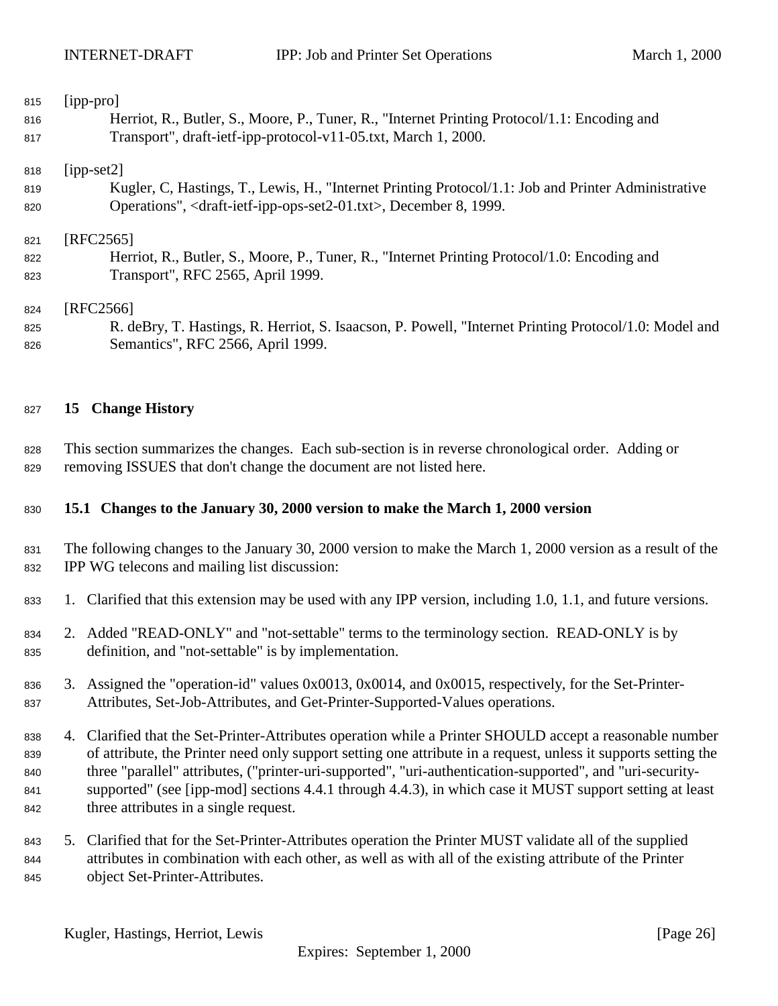<span id="page-25-0"></span>

| 815 | $[$ ipp-pro $]$                                                                                       |
|-----|-------------------------------------------------------------------------------------------------------|
| 816 | Herriot, R., Butler, S., Moore, P., Tuner, R., "Internet Printing Protocol/1.1: Encoding and          |
| 817 | Transport", draft-ietf-ipp-protocol-v11-05.txt, March 1, 2000.                                        |
| 818 | $[ipp-set2]$                                                                                          |
| 819 | Kugler, C, Hastings, T., Lewis, H., "Internet Printing Protocol/1.1: Job and Printer Administrative   |
| 820 | Operations", <draft-ietf-ipp-ops-set2-01.txt>, December 8, 1999.</draft-ietf-ipp-ops-set2-01.txt>     |
| 821 | [RFC2565]                                                                                             |
| 822 | Herriot, R., Butler, S., Moore, P., Tuner, R., "Internet Printing Protocol/1.0: Encoding and          |
| 823 | Transport", RFC 2565, April 1999.                                                                     |
| 824 | [RFC2566]                                                                                             |
| 825 | R. deBry, T. Hastings, R. Herriot, S. Isaacson, P. Powell, "Internet Printing Protocol/1.0: Model and |
| 826 | Semantics", RFC 2566, April 1999.                                                                     |
| 827 | <b>Change History</b><br>15                                                                           |

 This section summarizes the changes. Each sub-section is in reverse chronological order. Adding or removing ISSUES that don't change the document are not listed here.

## **15.1 Changes to the January 30, 2000 version to make the March 1, 2000 version**

- The following changes to the January 30, 2000 version to make the March 1, 2000 version as a result of the IPP WG telecons and mailing list discussion:
- 1. Clarified that this extension may be used with any IPP version, including 1.0, 1.1, and future versions.
- 2. Added "READ-ONLY" and "not-settable" terms to the terminology section. READ-ONLY is by definition, and "not-settable" is by implementation.
- 3. Assigned the "operation-id" values 0x0013, 0x0014, and 0x0015, respectively, for the Set-Printer-Attributes, Set-Job-Attributes, and Get-Printer-Supported-Values operations.
- 4. Clarified that the Set-Printer-Attributes operation while a Printer SHOULD accept a reasonable number of attribute, the Printer need only support setting one attribute in a request, unless it supports setting the three "parallel" attributes, ("printer-uri-supported", "uri-authentication-supported", and "uri-security- supported" (see [ipp-mod] sections 4.4.1 through 4.4.3), in which case it MUST support setting at least three attributes in a single request.
- 5. Clarified that for the Set-Printer-Attributes operation the Printer MUST validate all of the supplied attributes in combination with each other, as well as with all of the existing attribute of the Printer object Set-Printer-Attributes.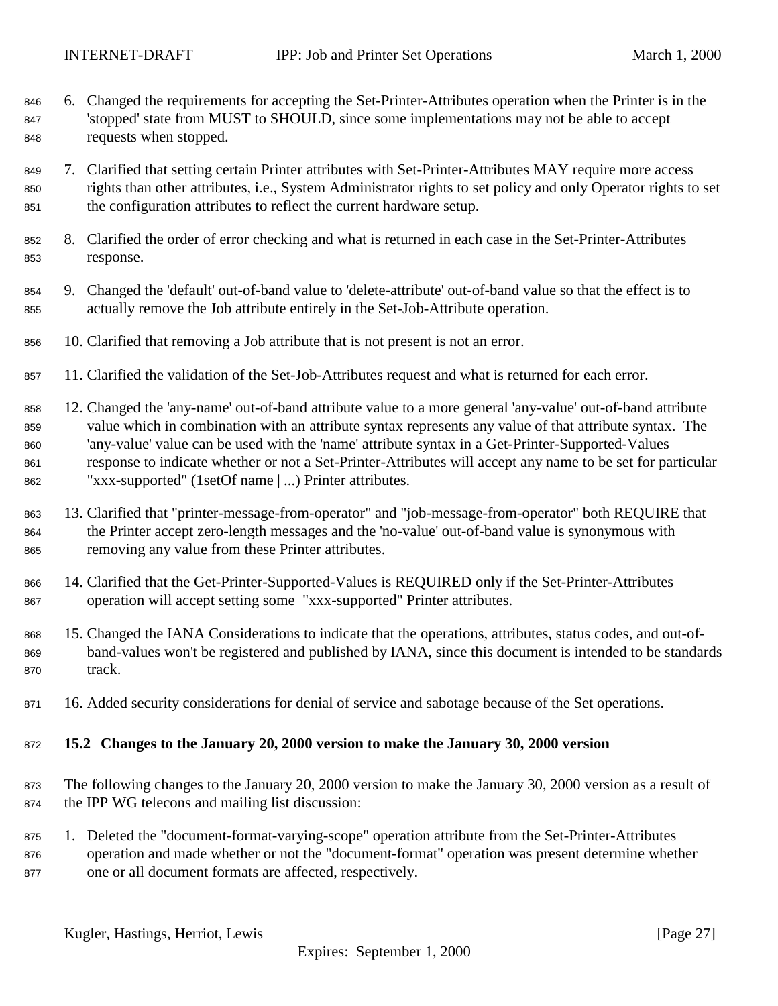- <span id="page-26-0"></span> 6. Changed the requirements for accepting the Set-Printer-Attributes operation when the Printer is in the 'stopped' state from MUST to SHOULD, since some implementations may not be able to accept requests when stopped.
- 7. Clarified that setting certain Printer attributes with Set-Printer-Attributes MAY require more access rights than other attributes, i.e., System Administrator rights to set policy and only Operator rights to set the configuration attributes to reflect the current hardware setup.
- 8. Clarified the order of error checking and what is returned in each case in the Set-Printer-Attributes response.
- 9. Changed the 'default' out-of-band value to 'delete-attribute' out-of-band value so that the effect is to actually remove the Job attribute entirely in the Set-Job-Attribute operation.
- 10. Clarified that removing a Job attribute that is not present is not an error.
- 11. Clarified the validation of the Set-Job-Attributes request and what is returned for each error.
- 12. Changed the 'any-name' out-of-band attribute value to a more general 'any-value' out-of-band attribute value which in combination with an attribute syntax represents any value of that attribute syntax. The 'any-value' value can be used with the 'name' attribute syntax in a Get-Printer-Supported-Values response to indicate whether or not a Set-Printer-Attributes will accept any name to be set for particular "xxx-supported" (1setOf name | ...) Printer attributes.
- 13. Clarified that "printer-message-from-operator" and "job-message-from-operator" both REQUIRE that the Printer accept zero-length messages and the 'no-value' out-of-band value is synonymous with removing any value from these Printer attributes.
- 14. Clarified that the Get-Printer-Supported-Values is REQUIRED only if the Set-Printer-Attributes operation will accept setting some "xxx-supported" Printer attributes.
- 15. Changed the IANA Considerations to indicate that the operations, attributes, status codes, and out-of- band-values won't be registered and published by IANA, since this document is intended to be standards 870 track.
- 16. Added security considerations for denial of service and sabotage because of the Set operations.

#### **15.2 Changes to the January 20, 2000 version to make the January 30, 2000 version**

- The following changes to the January 20, 2000 version to make the January 30, 2000 version as a result of the IPP WG telecons and mailing list discussion:
- 1. Deleted the "document-format-varying-scope" operation attribute from the Set-Printer-Attributes operation and made whether or not the "document-format" operation was present determine whether one or all document formats are affected, respectively.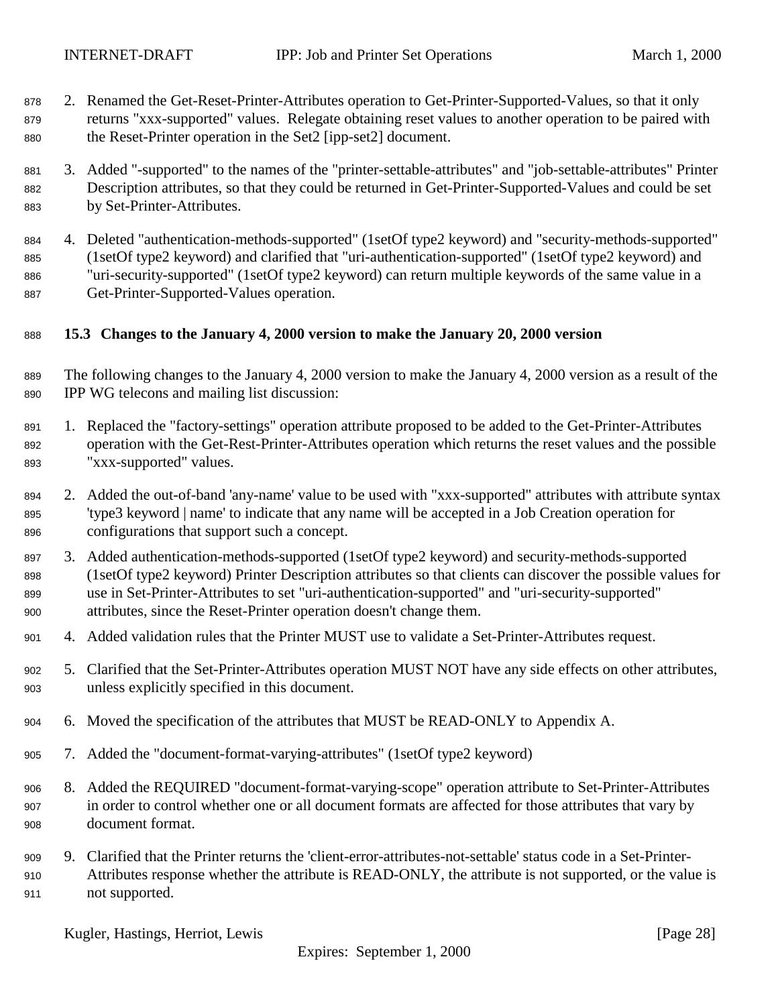- <span id="page-27-0"></span> 2. Renamed the Get-Reset-Printer-Attributes operation to Get-Printer-Supported-Values, so that it only returns "xxx-supported" values. Relegate obtaining reset values to another operation to be paired with the Reset-Printer operation in the Set2 [ipp-set2] document.
- 3. Added "-supported" to the names of the "printer-settable-attributes" and "job-settable-attributes" Printer Description attributes, so that they could be returned in Get-Printer-Supported-Values and could be set by Set-Printer-Attributes.
- 4. Deleted "authentication-methods-supported" (1setOf type2 keyword) and "security-methods-supported" (1setOf type2 keyword) and clarified that "uri-authentication-supported" (1setOf type2 keyword) and "uri-security-supported" (1setOf type2 keyword) can return multiple keywords of the same value in a Get-Printer-Supported-Values operation.

## **15.3 Changes to the January 4, 2000 version to make the January 20, 2000 version**

- The following changes to the January 4, 2000 version to make the January 4, 2000 version as a result of the IPP WG telecons and mailing list discussion:
- 1. Replaced the "factory-settings" operation attribute proposed to be added to the Get-Printer-Attributes operation with the Get-Rest-Printer-Attributes operation which returns the reset values and the possible "xxx-supported" values.
- 2. Added the out-of-band 'any-name' value to be used with "xxx-supported" attributes with attribute syntax 'type3 keyword | name' to indicate that any name will be accepted in a Job Creation operation for configurations that support such a concept.
- 3. Added authentication-methods-supported (1setOf type2 keyword) and security-methods-supported (1setOf type2 keyword) Printer Description attributes so that clients can discover the possible values for use in Set-Printer-Attributes to set "uri-authentication-supported" and "uri-security-supported" attributes, since the Reset-Printer operation doesn't change them.
- 4. Added validation rules that the Printer MUST use to validate a Set-Printer-Attributes request.
- 5. Clarified that the Set-Printer-Attributes operation MUST NOT have any side effects on other attributes, unless explicitly specified in this document.
- 6. Moved the specification of the attributes that MUST be READ-ONLY to Appendix A.
- 7. Added the "document-format-varying-attributes" (1setOf type2 keyword)
- 8. Added the REQUIRED "document-format-varying-scope" operation attribute to Set-Printer-Attributes in order to control whether one or all document formats are affected for those attributes that vary by document format.
- 9. Clarified that the Printer returns the 'client-error-attributes-not-settable' status code in a Set-Printer- Attributes response whether the attribute is READ-ONLY, the attribute is not supported, or the value is not supported.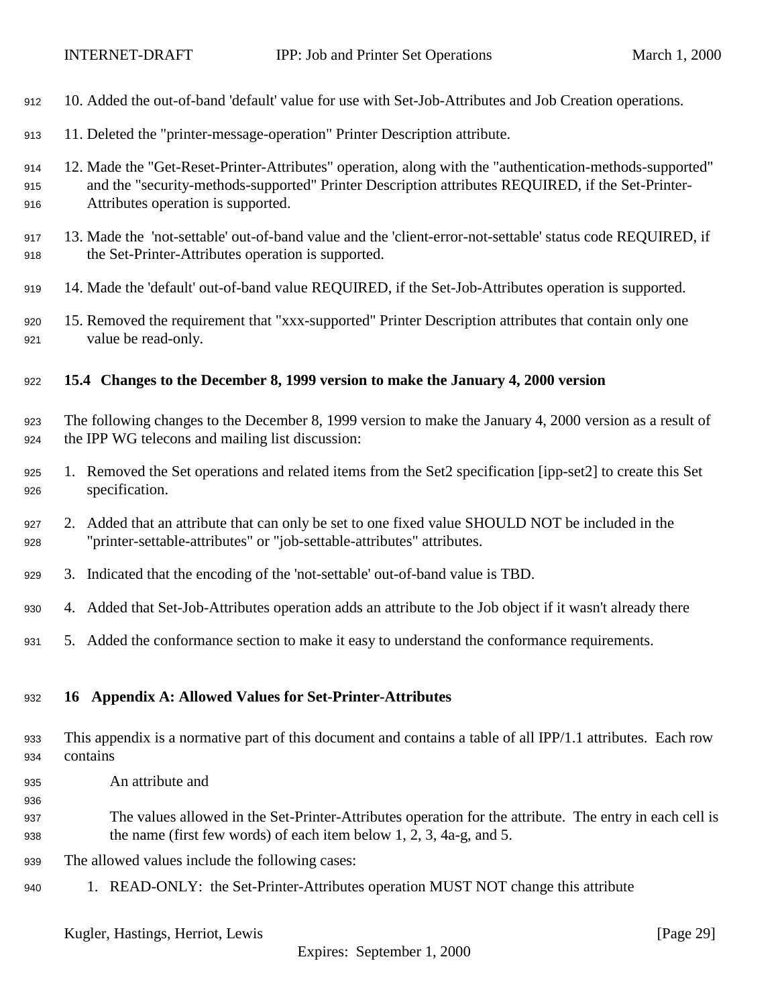<span id="page-28-0"></span>

| 912               | 10. Added the out-of-band 'default' value for use with Set-Job-Attributes and Job Creation operations.                                                                                                                                              |
|-------------------|-----------------------------------------------------------------------------------------------------------------------------------------------------------------------------------------------------------------------------------------------------|
| 913               | 11. Deleted the "printer-message-operation" Printer Description attribute.                                                                                                                                                                          |
| 914<br>915<br>916 | 12. Made the "Get-Reset-Printer-Attributes" operation, along with the "authentication-methods-supported"<br>and the "security-methods-supported" Printer Description attributes REQUIRED, if the Set-Printer-<br>Attributes operation is supported. |
| 917<br>918        | 13. Made the 'not-settable' out-of-band value and the 'client-error-not-settable' status code REQUIRED, if<br>the Set-Printer-Attributes operation is supported.                                                                                    |
| 919               | 14. Made the 'default' out-of-band value REQUIRED, if the Set-Job-Attributes operation is supported.                                                                                                                                                |
| 920<br>921        | 15. Removed the requirement that "xxx-supported" Printer Description attributes that contain only one<br>value be read-only.                                                                                                                        |
| 922               | 15.4 Changes to the December 8, 1999 version to make the January 4, 2000 version                                                                                                                                                                    |
| 923<br>924        | The following changes to the December 8, 1999 version to make the January 4, 2000 version as a result of<br>the IPP WG telecons and mailing list discussion:                                                                                        |
| 925<br>926        | 1. Removed the Set operations and related items from the Set2 specification [ipp-set2] to create this Set<br>specification.                                                                                                                         |
| 927<br>928        | 2. Added that an attribute that can only be set to one fixed value SHOULD NOT be included in the<br>"printer-settable-attributes" or "job-settable-attributes" attributes.                                                                          |
| 929               | 3. Indicated that the encoding of the 'not-settable' out-of-band value is TBD.                                                                                                                                                                      |
| 930               | 4. Added that Set-Job-Attributes operation adds an attribute to the Job object if it wasn't already there                                                                                                                                           |
| 931               | 5. Added the conformance section to make it easy to understand the conformance requirements.                                                                                                                                                        |
| 932               | 16 Appendix A: Allowed Values for Set-Printer-Attributes                                                                                                                                                                                            |
| 933<br>934        | This appendix is a normative part of this document and contains a table of all IPP/1.1 attributes. Each row<br>contains                                                                                                                             |
| 935               | An attribute and                                                                                                                                                                                                                                    |
| 936<br>937<br>938 | The values allowed in the Set-Printer-Attributes operation for the attribute. The entry in each cell is<br>the name (first few words) of each item below $1, 2, 3, 4a-g$ , and 5.                                                                   |
| 939               | The allowed values include the following cases:                                                                                                                                                                                                     |
| 940               | 1. READ-ONLY: the Set-Printer-Attributes operation MUST NOT change this attribute                                                                                                                                                                   |
|                   | Kugler, Hastings, Herriot, Lewis<br>[Page 29]<br>Expires: September 1, 2000                                                                                                                                                                         |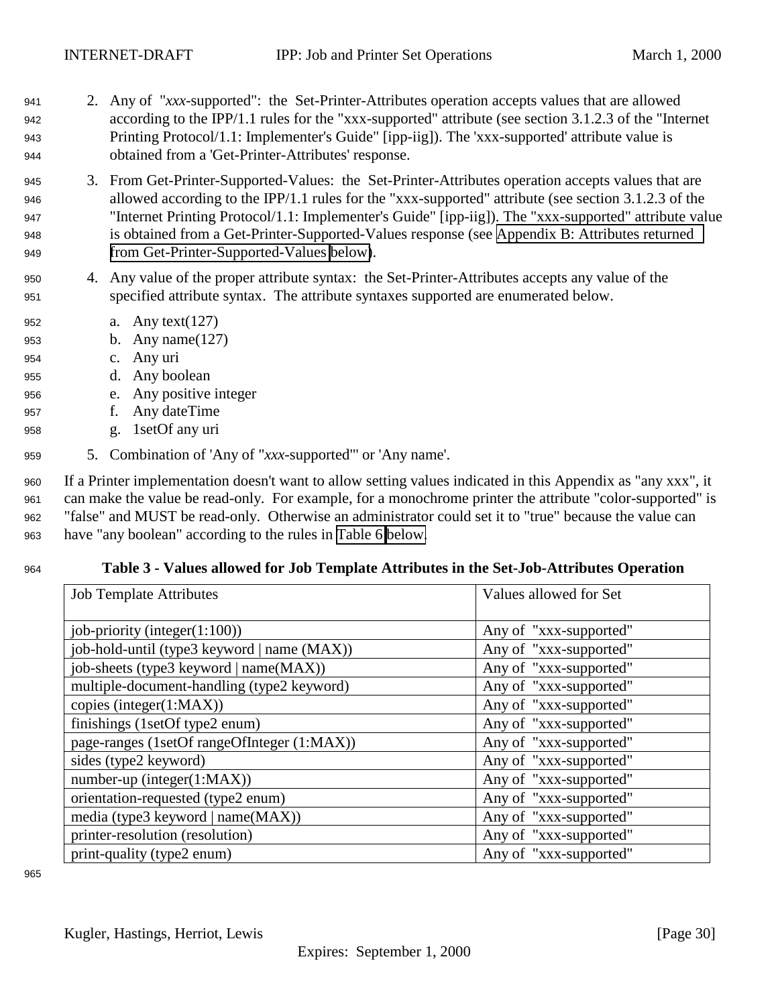- <span id="page-29-0"></span><sup>941</sup> 2. Any of "*xxx*-supported": the Set-Printer-Attributes operation accepts values that are allowed <sup>942</sup> according to the IPP/1.1 rules for the "xxx-supported" attribute (see section 3.1.2.3 of the "Internet <sup>943</sup> Printing Protocol/1.1: Implementer's Guide" [ipp-iig]). The 'xxx-supported' attribute value is <sup>944</sup> obtained from a 'Get-Printer-Attributes' response.
- <sup>945</sup> 3. From Get-Printer-Supported-Values: the Set-Printer-Attributes operation accepts values that are <sup>946</sup> allowed according to the IPP/1.1 rules for the "xxx-supported" attribute (see section 3.1.2.3 of the <sup>947</sup> "Internet Printing Protocol/1.1: Implementer's Guide" [ipp-iig]). The "xxx-supported" attribute value <sup>948</sup> is obtained from a Get-Printer-Supported-Values response (see [Appendix B: Attributes returned](#page-32-0) <sup>949</sup> [from Get-Printer-Supported-Values below\)](#page-32-0).
- <sup>950</sup> 4. Any value of the proper attribute syntax: the Set-Printer-Attributes accepts any value of the <sup>951</sup> specified attribute syntax. The attribute syntaxes supported are enumerated below.
- <sup>952</sup> a. Any text(127)
- <sup>953</sup> b. Any name(127)
- <sup>954</sup> c. Any uri
- <sup>955</sup> d. Any boolean
- <sup>956</sup> e. Any positive integer
- <sup>957</sup> f. Any dateTime
- <sup>958</sup> g. 1setOf any uri
- <sup>959</sup> 5. Combination of 'Any of "*xxx*-supported"' or 'Any name'.

 If a Printer implementation doesn't want to allow setting values indicated in this Appendix as "any xxx", it can make the value be read-only. For example, for a monochrome printer the attribute "color-supported" is "false" and MUST be read-only. Otherwise an administrator could set it to "true" because the value can have "any boolean" according to the rules in [Table 6 below.](#page-31-0)

#### <sup>964</sup> **Table 3 - Values allowed for Job Template Attributes in the Set-Job-Attributes Operation**

| <b>Job Template Attributes</b>              | Values allowed for Set |
|---------------------------------------------|------------------------|
|                                             |                        |
| job-priority (integer $(1:100)$ )           | Any of "xxx-supported" |
| job-hold-until (type3 keyword   name (MAX)) | Any of "xxx-supported" |
| job-sheets (type3 keyword   name(MAX))      | Any of "xxx-supported" |
| multiple-document-handling (type2 keyword)  | Any of "xxx-supported" |
| copies (integer(1:MAX))                     | Any of "xxx-supported" |
| finishings (1setOf type2 enum)              | Any of "xxx-supported" |
| page-ranges (1setOf rangeOfInteger (1:MAX)) | Any of "xxx-supported" |
| sides (type2 keyword)                       | Any of "xxx-supported" |
| $number-up (integer(1:MAX))$                | Any of "xxx-supported" |
| orientation-requested (type2 enum)          | Any of "xxx-supported" |
| media (type3 keyword   name(MAX))           | Any of "xxx-supported" |
| printer-resolution (resolution)             | Any of "xxx-supported" |
| print-quality (type2 enum)                  | Any of "xxx-supported" |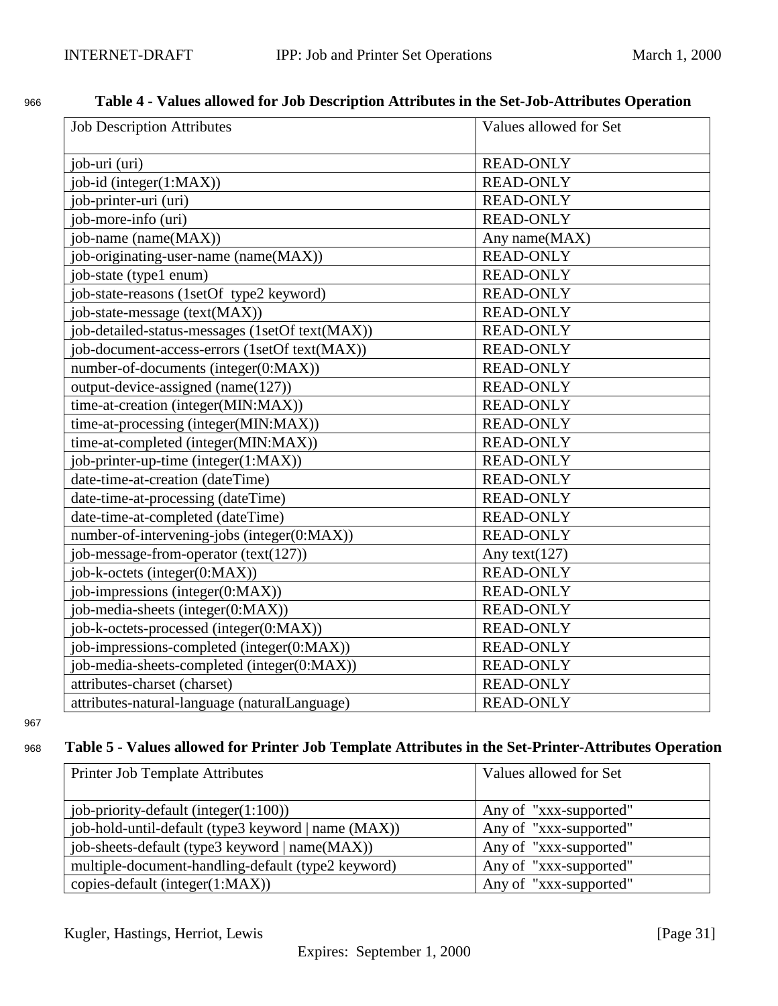# <span id="page-30-0"></span><sup>966</sup> **Table 4 - Values allowed for Job Description Attributes in the Set-Job-Attributes Operation**

| <b>Job Description Attributes</b>               | Values allowed for Set |
|-------------------------------------------------|------------------------|
| job-uri (uri)                                   | <b>READ-ONLY</b>       |
| job-id (integer(1:MAX))                         | <b>READ-ONLY</b>       |
| job-printer-uri (uri)                           | <b>READ-ONLY</b>       |
| job-more-info (uri)                             | <b>READ-ONLY</b>       |
| job-name (name(MAX))                            | Any name(MAX)          |
| job-originating-user-name (name(MAX))           | <b>READ-ONLY</b>       |
| job-state (type1 enum)                          | <b>READ-ONLY</b>       |
| job-state-reasons (1setOf type2 keyword)        | <b>READ-ONLY</b>       |
| job-state-message (text(MAX))                   | <b>READ-ONLY</b>       |
| job-detailed-status-messages (1setOf text(MAX)) | <b>READ-ONLY</b>       |
| job-document-access-errors (1setOf text(MAX))   | <b>READ-ONLY</b>       |
| number-of-documents (integer(0:MAX))            | <b>READ-ONLY</b>       |
| output-device-assigned (name(127))              | <b>READ-ONLY</b>       |
| time-at-creation (integer(MIN:MAX))             | <b>READ-ONLY</b>       |
| time-at-processing (integer(MIN:MAX))           | <b>READ-ONLY</b>       |
| time-at-completed (integer(MIN:MAX))            | <b>READ-ONLY</b>       |
| job-printer-up-time (integer(1:MAX))            | <b>READ-ONLY</b>       |
| date-time-at-creation (dateTime)                | <b>READ-ONLY</b>       |
| date-time-at-processing (dateTime)              | <b>READ-ONLY</b>       |
| date-time-at-completed (dateTime)               | <b>READ-ONLY</b>       |
| number-of-intervening-jobs (integer(0:MAX))     | <b>READ-ONLY</b>       |
| job-message-from-operator (text(127))           | Any text $(127)$       |
| job-k-octets (integer(0:MAX))                   | <b>READ-ONLY</b>       |
| job-impressions (integer(0:MAX))                | <b>READ-ONLY</b>       |
| job-media-sheets (integer(0:MAX))               | <b>READ-ONLY</b>       |
| job-k-octets-processed (integer(0:MAX))         | <b>READ-ONLY</b>       |
| job-impressions-completed (integer(0:MAX))      | <b>READ-ONLY</b>       |
| job-media-sheets-completed (integer(0:MAX))     | <b>READ-ONLY</b>       |
| attributes-charset (charset)                    | <b>READ-ONLY</b>       |
| attributes-natural-language (naturalLanguage)   | <b>READ-ONLY</b>       |

967

## <sup>968</sup> **Table 5 - Values allowed for Printer Job Template Attributes in the Set-Printer-Attributes Operation**

| Printer Job Template Attributes                     | Values allowed for Set |
|-----------------------------------------------------|------------------------|
| job-priority-default (integer $(1:100)$ )           | Any of "xxx-supported" |
| job-hold-until-default (type3 keyword   name (MAX)) | Any of "xxx-supported" |
| job-sheets-default (type3 keyword   name(MAX))      | Any of "xxx-supported" |
| multiple-document-handling-default (type2 keyword)  | Any of "xxx-supported" |
| copies-default (integer(1:MAX))                     | Any of "xxx-supported" |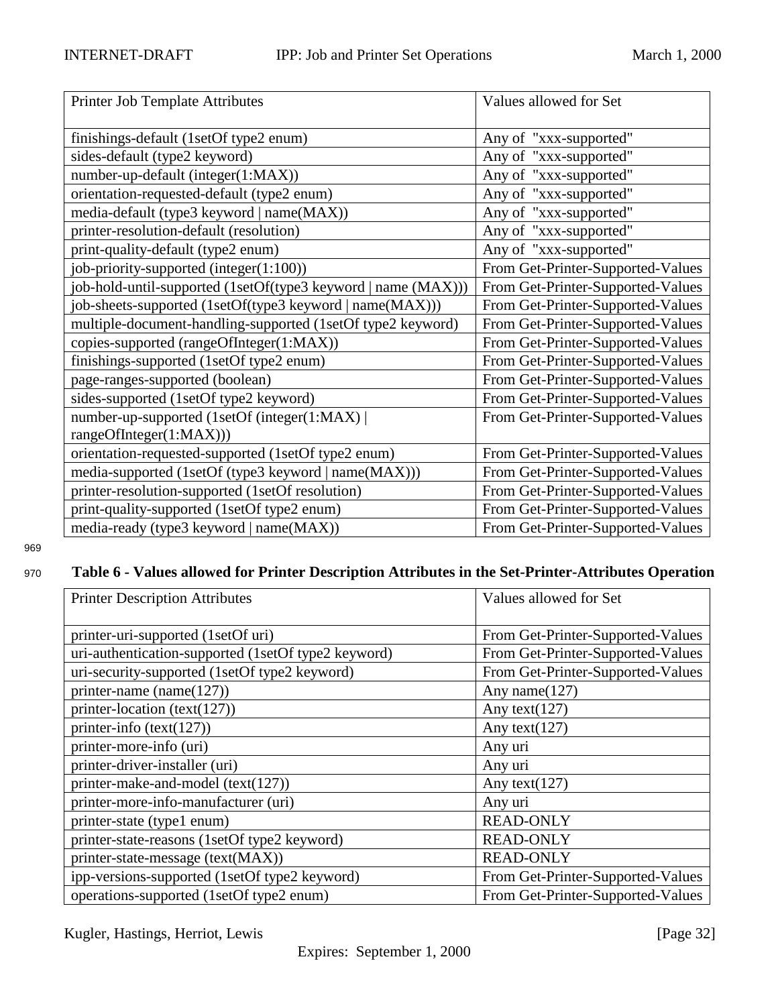<span id="page-31-0"></span>

| Printer Job Template Attributes                               | Values allowed for Set            |
|---------------------------------------------------------------|-----------------------------------|
| finishings-default (1setOf type2 enum)                        | Any of "xxx-supported"            |
| sides-default (type2 keyword)                                 | Any of "xxx-supported"            |
| number-up-default (integer(1:MAX))                            | Any of "xxx-supported"            |
| orientation-requested-default (type2 enum)                    | Any of "xxx-supported"            |
| media-default (type3 keyword   name(MAX))                     | Any of "xxx-supported"            |
| printer-resolution-default (resolution)                       | Any of "xxx-supported"            |
| print-quality-default (type2 enum)                            | Any of "xxx-supported"            |
| job-priority-supported (integer(1:100))                       | From Get-Printer-Supported-Values |
| job-hold-until-supported (1setOf(type3 keyword   name (MAX))) | From Get-Printer-Supported-Values |
| job-sheets-supported (1setOf(type3 keyword   name(MAX)))      | From Get-Printer-Supported-Values |
| multiple-document-handling-supported (1setOf type2 keyword)   | From Get-Printer-Supported-Values |
| copies-supported (rangeOfInteger(1:MAX))                      | From Get-Printer-Supported-Values |
| finishings-supported (1setOf type2 enum)                      | From Get-Printer-Supported-Values |
| page-ranges-supported (boolean)                               | From Get-Printer-Supported-Values |
| sides-supported (1setOf type2 keyword)                        | From Get-Printer-Supported-Values |
| number-up-supported (1setOf (integer(1:MAX))                  | From Get-Printer-Supported-Values |
| rangeOfInteger(1:MAX)))                                       |                                   |
| orientation-requested-supported (1setOf type2 enum)           | From Get-Printer-Supported-Values |
| media-supported (1setOf (type3 keyword   name(MAX)))          | From Get-Printer-Supported-Values |
| printer-resolution-supported (1setOf resolution)              | From Get-Printer-Supported-Values |
| print-quality-supported (1setOf type2 enum)                   | From Get-Printer-Supported-Values |
| media-ready (type3 keyword   name(MAX))                       | From Get-Printer-Supported-Values |

## <sup>970</sup> **Table 6 - Values allowed for Printer Description Attributes in the Set-Printer-Attributes Operation**

| <b>Printer Description Attributes</b>               | Values allowed for Set            |
|-----------------------------------------------------|-----------------------------------|
|                                                     |                                   |
| printer-uri-supported (1setOf uri)                  | From Get-Printer-Supported-Values |
| uri-authentication-supported (1setOf type2 keyword) | From Get-Printer-Supported-Values |
| uri-security-supported (1setOf type2 keyword)       | From Get-Printer-Supported-Values |
| printer-name (name $(127)$ )                        | Any name $(127)$                  |
| printer-location (text(127))                        | Any text $(127)$                  |
| printer-info $(text(127))$                          | Any text $(127)$                  |
| printer-more-info (uri)                             | Any uri                           |
| printer-driver-installer (uri)                      | Any uri                           |
| printer-make-and-model (text(127))                  | Any text( $127$ )                 |
| printer-more-info-manufacturer (uri)                | Any uri                           |
| printer-state (type1 enum)                          | <b>READ-ONLY</b>                  |
| printer-state-reasons (1setOf type2 keyword)        | <b>READ-ONLY</b>                  |
| printer-state-message (text(MAX))                   | <b>READ-ONLY</b>                  |
| ipp-versions-supported (1setOf type2 keyword)       | From Get-Printer-Supported-Values |
| operations-supported (1setOf type2 enum)            | From Get-Printer-Supported-Values |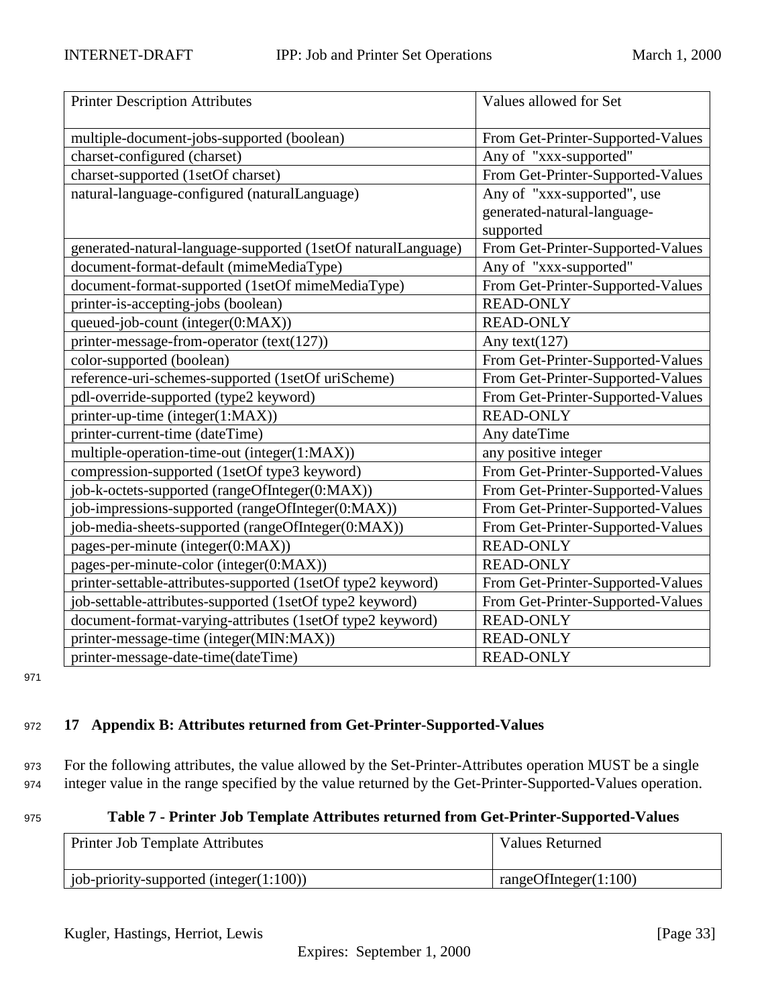<span id="page-32-0"></span>

| <b>Printer Description Attributes</b>                         | Values allowed for Set            |
|---------------------------------------------------------------|-----------------------------------|
| multiple-document-jobs-supported (boolean)                    | From Get-Printer-Supported-Values |
| charset-configured (charset)                                  | Any of "xxx-supported"            |
| charset-supported (1setOf charset)                            | From Get-Printer-Supported-Values |
| natural-language-configured (naturalLanguage)                 | Any of "xxx-supported", use       |
|                                                               | generated-natural-language-       |
|                                                               | supported                         |
| generated-natural-language-supported (1setOf naturalLanguage) | From Get-Printer-Supported-Values |
| document-format-default (mimeMediaType)                       | Any of "xxx-supported"            |
| document-format-supported (1setOf mimeMediaType)              | From Get-Printer-Supported-Values |
| printer-is-accepting-jobs (boolean)                           | <b>READ-ONLY</b>                  |
| queued-job-count (integer(0:MAX))                             | <b>READ-ONLY</b>                  |
| printer-message-from-operator (text(127))                     | Any text $(127)$                  |
| color-supported (boolean)                                     | From Get-Printer-Supported-Values |
| reference-uri-schemes-supported (1setOf uriScheme)            | From Get-Printer-Supported-Values |
| pdl-override-supported (type2 keyword)                        | From Get-Printer-Supported-Values |
| printer-up-time (integer(1:MAX))                              | <b>READ-ONLY</b>                  |
| printer-current-time (dateTime)                               | Any dateTime                      |
| multiple-operation-time-out (integer(1:MAX))                  | any positive integer              |
| compression-supported (1setOf type3 keyword)                  | From Get-Printer-Supported-Values |
| job-k-octets-supported (rangeOfInteger(0:MAX))                | From Get-Printer-Supported-Values |
| job-impressions-supported (rangeOfInteger(0:MAX))             | From Get-Printer-Supported-Values |
| job-media-sheets-supported (rangeOfInteger(0:MAX))            | From Get-Printer-Supported-Values |
| pages-per-minute (integer(0:MAX))                             | <b>READ-ONLY</b>                  |
| pages-per-minute-color (integer(0:MAX))                       | <b>READ-ONLY</b>                  |
| printer-settable-attributes-supported (1setOf type2 keyword)  | From Get-Printer-Supported-Values |
| job-settable-attributes-supported (1setOf type2 keyword)      | From Get-Printer-Supported-Values |
| document-format-varying-attributes (1setOf type2 keyword)     | <b>READ-ONLY</b>                  |
| printer-message-time (integer(MIN:MAX))                       | <b>READ-ONLY</b>                  |
| printer-message-date-time(dateTime)                           | <b>READ-ONLY</b>                  |

## <sup>972</sup> **17 Appendix B: Attributes returned from Get-Printer-Supported-Values**

<sup>973</sup> For the following attributes, the value allowed by the Set-Printer-Attributes operation MUST be a single <sup>974</sup> integer value in the range specified by the value returned by the Get-Printer-Supported-Values operation.

## <sup>975</sup> **Table 7 - Printer Job Template Attributes returned from Get-Printer-Supported-Values**

| Printer Job Template Attributes              | <b>Values Returned</b>              |
|----------------------------------------------|-------------------------------------|
| [iob-priority-supported (integer $(1:100)$ ) | $\frac{1}{2}$ rangeOfInteger(1:100) |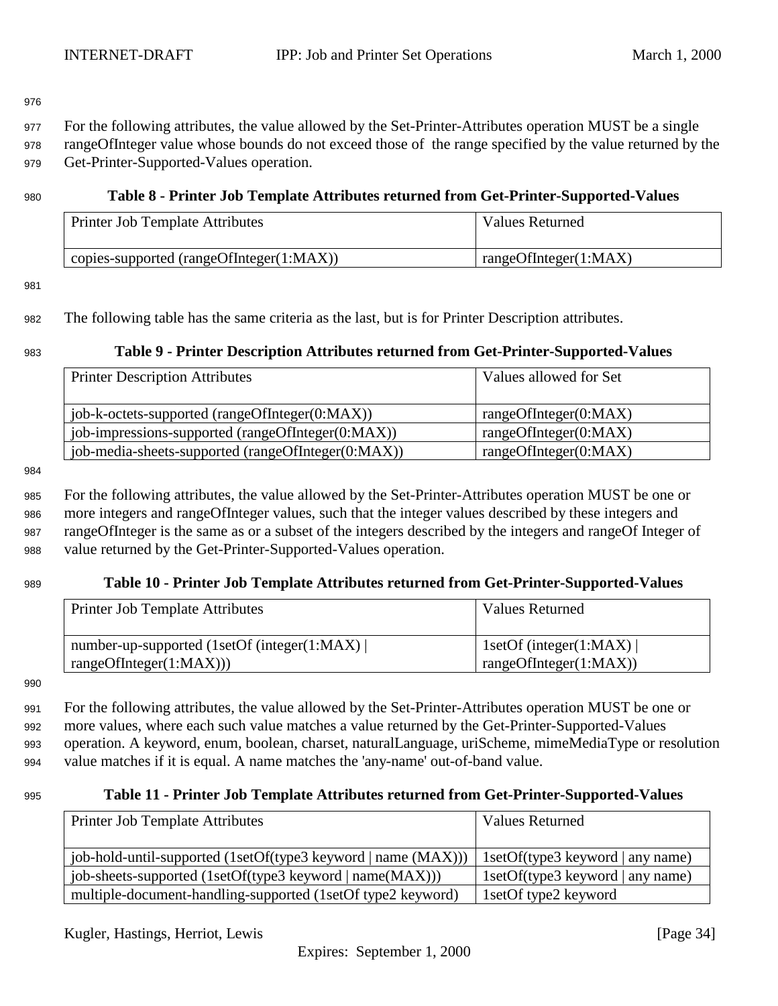<span id="page-33-0"></span><sup>977</sup> For the following attributes, the value allowed by the Set-Printer-Attributes operation MUST be a single

<sup>978</sup> rangeOfInteger value whose bounds do not exceed those of the range specified by the value returned by the <sup>979</sup> Get-Printer-Supported-Values operation.

## <sup>980</sup> **Table 8 - Printer Job Template Attributes returned from Get-Printer-Supported-Values**

| <b>Printer Job Template Attributes</b>   | Values Returned       |
|------------------------------------------|-----------------------|
| copies-supported (rangeOfInteger(1:MAX)) | rangeOfInteger(1:MAX) |

981

## <sup>982</sup> The following table has the same criteria as the last, but is for Printer Description attributes.

## <sup>983</sup> **Table 9 - Printer Description Attributes returned from Get-Printer-Supported-Values**

| <b>Printer Description Attributes</b>              | Values allowed for Set |
|----------------------------------------------------|------------------------|
|                                                    |                        |
| job-k-octets-supported (rangeOfInteger(0:MAX))     | rangeOfInteger(0:MAX)  |
| job-impressions-supported (rangeOfInteger(0:MAX))  | rangeOfInteger(0:MAX)  |
| job-media-sheets-supported (rangeOfInteger(0:MAX)) | rangeOfInteger(0:MAX)  |

984

 For the following attributes, the value allowed by the Set-Printer-Attributes operation MUST be one or more integers and rangeOfInteger values, such that the integer values described by these integers and rangeOfInteger is the same as or a subset of the integers described by the integers and rangeOf Integer of value returned by the Get-Printer-Supported-Values operation.

## <sup>989</sup> **Table 10 - Printer Job Template Attributes returned from Get-Printer-Supported-Values**

| Printer Job Template Attributes              | Values Returned         |
|----------------------------------------------|-------------------------|
| number-up-supported (1setOf (integer(1:MAX)) | 1setOf (integer(1:MAX)) |
| rangeOfInteger(1:MAX))                       | rangeOfInteger(1:MAX))  |

990

 For the following attributes, the value allowed by the Set-Printer-Attributes operation MUST be one or more values, where each such value matches a value returned by the Get-Printer-Supported-Values operation. A keyword, enum, boolean, charset, naturalLanguage, uriScheme, mimeMediaType or resolution value matches if it is equal. A name matches the 'any-name' out-of-band value.

## <sup>995</sup> **Table 11 - Printer Job Template Attributes returned from Get-Printer-Supported-Values**

| Printer Job Template Attributes                                | <b>Values Returned</b>           |
|----------------------------------------------------------------|----------------------------------|
| [job-hold-until-supported (1setOf(type3 keyword   name (MAX))) | 1setOf(type3 keyword   any name) |
| job-sheets-supported (1setOf(type3 keyword   name(MAX)))       | 1setOf(type3 keyword   any name) |
| multiple-document-handling-supported (1setOf type2 keyword)    | 1 set Of type 2 keyword          |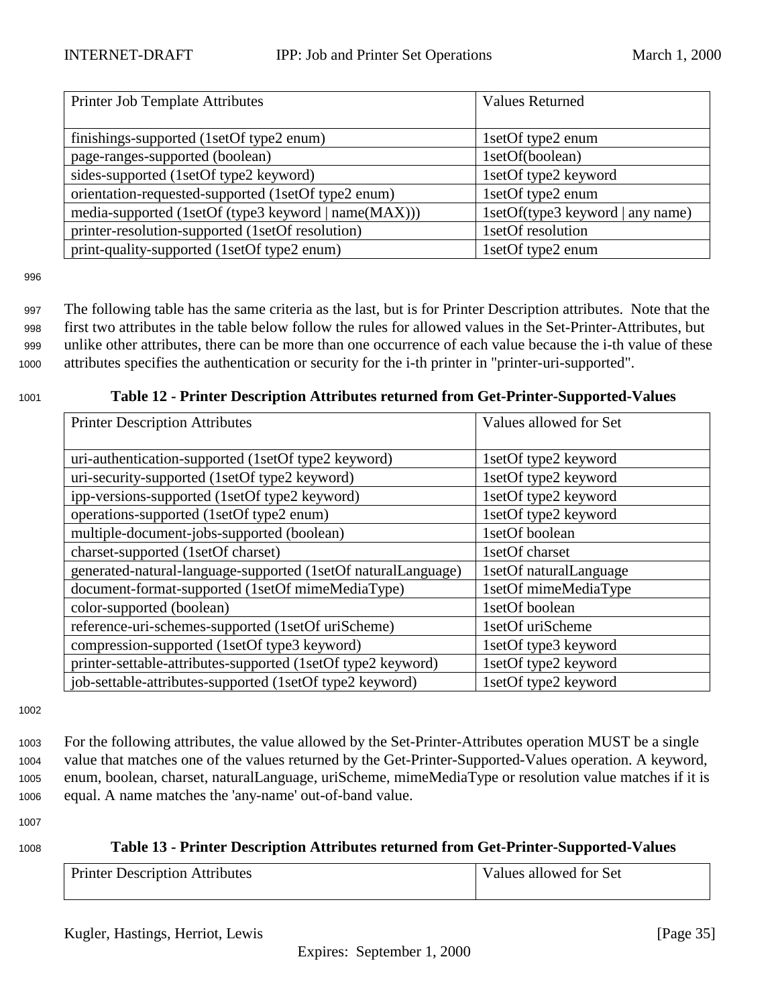<span id="page-34-0"></span>

| Printer Job Template Attributes                      | <b>Values Returned</b>           |
|------------------------------------------------------|----------------------------------|
|                                                      |                                  |
| finishings-supported (1setOf type2 enum)             | 1setOf type2 enum                |
| page-ranges-supported (boolean)                      | 1setOf(boolean)                  |
| sides-supported (1setOf type2 keyword)               | 1setOf type2 keyword             |
| orientation-requested-supported (1setOf type2 enum)  | 1setOf type2 enum                |
| media-supported (1setOf (type3 keyword   name(MAX))) | 1setOf(type3 keyword   any name) |
| printer-resolution-supported (1setOf resolution)     | 1setOf resolution                |
| print-quality-supported (1setOf type2 enum)          | 1setOf type2 enum                |

 The following table has the same criteria as the last, but is for Printer Description attributes. Note that the first two attributes in the table below follow the rules for allowed values in the Set-Printer-Attributes, but unlike other attributes, there can be more than one occurrence of each value because the i-th value of these attributes specifies the authentication or security for the i-th printer in "printer-uri-supported".

|                                                               | . .                    |
|---------------------------------------------------------------|------------------------|
| <b>Printer Description Attributes</b>                         | Values allowed for Set |
|                                                               |                        |
| uri-authentication-supported (1setOf type2 keyword)           | 1setOf type2 keyword   |
| uri-security-supported (1setOf type2 keyword)                 | 1setOf type2 keyword   |
| ipp-versions-supported (1setOf type2 keyword)                 | 1setOf type2 keyword   |
| operations-supported (1setOf type2 enum)                      | 1setOf type2 keyword   |
| multiple-document-jobs-supported (boolean)                    | 1setOf boolean         |
| charset-supported (1setOf charset)                            | 1setOf charset         |
| generated-natural-language-supported (1setOf naturalLanguage) | 1setOf naturalLanguage |
| document-format-supported (1setOf mimeMediaType)              | 1setOf mimeMediaType   |
| color-supported (boolean)                                     | 1setOf boolean         |
| reference-uri-schemes-supported (1setOf uriScheme)            | 1setOf uriScheme       |
| compression-supported (1setOf type3 keyword)                  | 1setOf type3 keyword   |
| printer-settable-attributes-supported (1setOf type2 keyword)  | 1setOf type2 keyword   |
| job-settable-attributes-supported (1setOf type2 keyword)      | 1setOf type2 keyword   |

<sup>1001</sup> **Table 12 - Printer Description Attributes returned from Get-Printer-Supported-Values**

1002

 For the following attributes, the value allowed by the Set-Printer-Attributes operation MUST be a single value that matches one of the values returned by the Get-Printer-Supported-Values operation. A keyword, enum, boolean, charset, naturalLanguage, uriScheme, mimeMediaType or resolution value matches if it is equal. A name matches the 'any-name' out-of-band value.

1007

| 1008 | Table 13 - Printer Description Attributes returned from Get-Printer-Supported-Values |
|------|--------------------------------------------------------------------------------------|
|      |                                                                                      |

| <b>Printer Description Attributes</b> | Values allowed for Set |
|---------------------------------------|------------------------|
|                                       |                        |